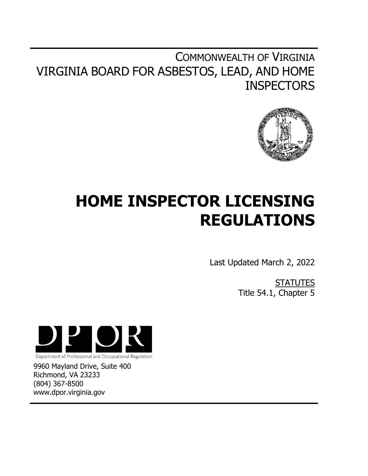## COMMONWEALTH OF VIRGINIA VIRGINIA BOARD FOR ASBESTOS, LEAD, AND HOME **INSPECTORS**



# **HOME INSPECTOR LICENSING REGULATIONS**

Last Updated March 2, 2022

**STATUTES** Title 54.1, Chapter 5



9960 Mayland Drive, Suite 400 Richmond, VA 23233

(804) 367-8500 www.dpor.virginia.gov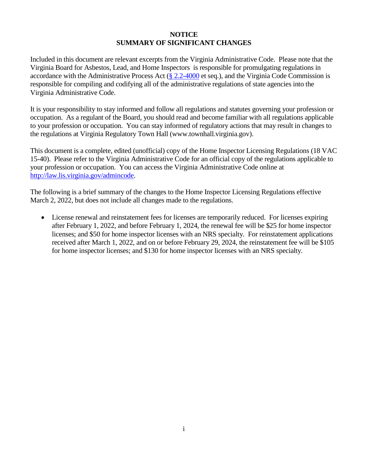## **NOTICE SUMMARY OF SIGNIFICANT CHANGES**

Included in this document are relevant excerpts from the Virginia Administrative Code. Please note that the Virginia Board for Asbestos, Lead, and Home Inspectors is responsible for promulgating regulations in accordance with the Administrative Process Act  $(\frac{8}{2.2} - 4000)$  et seq.), and the Virginia Code Commission is responsible for compiling and codifying all of the administrative regulations of state agencies into the Virginia Administrative Code.

It is your responsibility to stay informed and follow all regulations and statutes governing your profession or occupation. As a regulant of the Board, you should read and become familiar with all regulations applicable to your profession or occupation. You can stay informed of regulatory actions that may result in changes to the regulations at Virginia Regulatory Town Hall [\(www.townhall.virginia.gov\)](http://www.townhall.virginia.gov/).

This document is a complete, edited (unofficial) copy of the Home Inspector Licensing Regulations (18 VAC 15-40). Please refer to the Virginia Administrative Code for an official copy of the regulations applicable to your profession or occupation. You can access the Virginia Administrative Code online at [http://law.lis.virginia.gov/admincode.](http://law.lis.virginia.gov/admincode)

The following is a brief summary of the changes to the Home Inspector Licensing Regulations effective March 2, 2022, but does not include all changes made to the regulations.

 License renewal and reinstatement fees for licenses are temporarily reduced. For licenses expiring after February 1, 2022, and before February 1, 2024, the renewal fee will be \$25 for home inspector licenses; and \$50 for home inspector licenses with an NRS specialty. For reinstatement applications received after March 1, 2022, and on or before February 29, 2024, the reinstatement fee will be \$105 for home inspector licenses; and \$130 for home inspector licenses with an NRS specialty.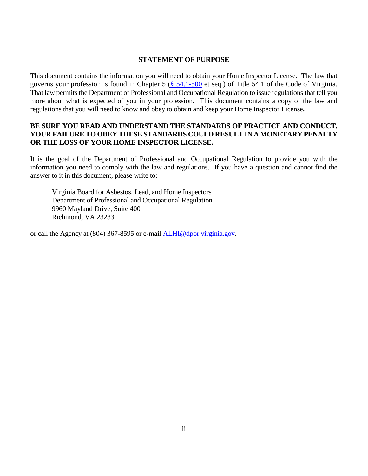## **STATEMENT OF PURPOSE**

This document contains the information you will need to obtain your Home Inspector License. The law that governs your profession is found in Chapter 5 [\(§ 54.1-500](https://law.lis.virginia.gov/vacode/title54.1/chapter5/section54.1-500/) et seq.) of Title 54.1 of the Code of Virginia. That law permits the Department of Professional and Occupational Regulation to issue regulations that tell you more about what is expected of you in your profession. This document contains a copy of the law and regulations that you will need to know and obey to obtain and keep your Home Inspector License**.** 

## **BE SURE YOU READ AND UNDERSTAND THE STANDARDS OF PRACTICE AND CONDUCT. YOUR FAILURE TO OBEY THESE STANDARDS COULD RESULT IN A MONETARY PENALTY OR THE LOSS OF YOUR HOME INSPECTOR LICENSE.**

It is the goal of the Department of Professional and Occupational Regulation to provide you with the information you need to comply with the law and regulations. If you have a question and cannot find the answer to it in this document, please write to:

Virginia Board for Asbestos, Lead, and Home Inspectors Department of Professional and Occupational Regulation 9960 Mayland Drive, Suite 400 Richmond, VA 23233

or call the Agency at (804) 367-8595 or e-mail [ALHI@dpor.virginia.gov.](file://///DPOR-STORAGE/Shared/CIC,%20WWWOOSSP,%20ALHI/GENERAL/REG%20REVIEW/Reg%20Booklets/ALHI/Home%20Inspectors/Effective%202020/ALHI@dpor.virginia.gov)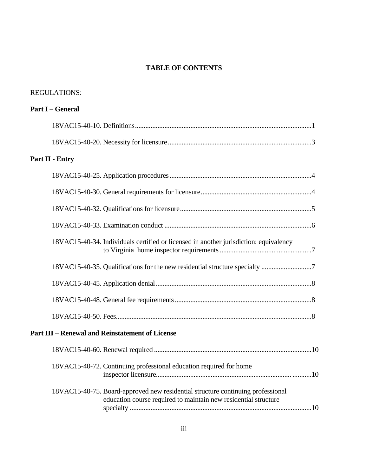## **TABLE OF CONTENTS**

| <b>REGULATIONS:</b>                                                                                                                                |  |
|----------------------------------------------------------------------------------------------------------------------------------------------------|--|
| <b>Part I – General</b>                                                                                                                            |  |
|                                                                                                                                                    |  |
|                                                                                                                                                    |  |
| Part II - Entry                                                                                                                                    |  |
|                                                                                                                                                    |  |
|                                                                                                                                                    |  |
|                                                                                                                                                    |  |
|                                                                                                                                                    |  |
| 18VAC15-40-34. Individuals certified or licensed in another jurisdiction; equivalency                                                              |  |
|                                                                                                                                                    |  |
|                                                                                                                                                    |  |
|                                                                                                                                                    |  |
|                                                                                                                                                    |  |
| <b>Part III - Renewal and Reinstatement of License</b>                                                                                             |  |
|                                                                                                                                                    |  |
| 18VAC15-40-72. Continuing professional education required for home                                                                                 |  |
| 18VAC15-40-75. Board-approved new residential structure continuing professional<br>education course required to maintain new residential structure |  |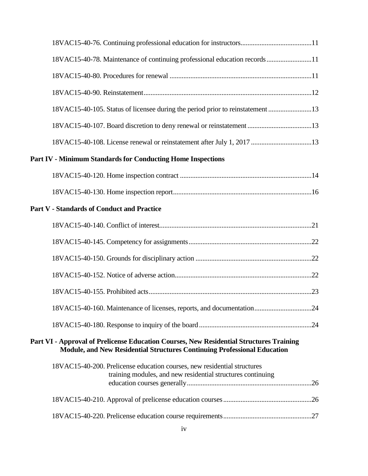| 18VAC15-40-78. Maintenance of continuing professional education records11                                                                                           |  |
|---------------------------------------------------------------------------------------------------------------------------------------------------------------------|--|
|                                                                                                                                                                     |  |
|                                                                                                                                                                     |  |
| 18VAC15-40-105. Status of licensee during the period prior to reinstatement 13                                                                                      |  |
| 18VAC15-40-107. Board discretion to deny renewal or reinstatement 13                                                                                                |  |
| 18VAC15-40-108. License renewal or reinstatement after July 1, 2017 13                                                                                              |  |
| <b>Part IV - Minimum Standards for Conducting Home Inspections</b>                                                                                                  |  |
|                                                                                                                                                                     |  |
|                                                                                                                                                                     |  |
| <b>Part V - Standards of Conduct and Practice</b>                                                                                                                   |  |
|                                                                                                                                                                     |  |
|                                                                                                                                                                     |  |
|                                                                                                                                                                     |  |
|                                                                                                                                                                     |  |
|                                                                                                                                                                     |  |
| 18VAC15-40-160. Maintenance of licenses, reports, and documentation24                                                                                               |  |
|                                                                                                                                                                     |  |
| Part VI - Approval of Prelicense Education Courses, New Residential Structures Training<br>Module, and New Residential Structures Continuing Professional Education |  |
| 18VAC15-40-200. Prelicense education courses, new residential structures<br>training modules, and new residential structures continuing                             |  |
|                                                                                                                                                                     |  |
|                                                                                                                                                                     |  |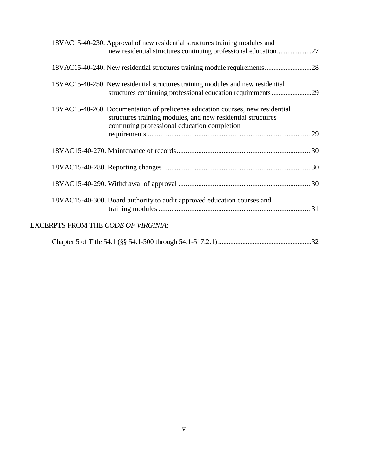|                                            | 18VAC15-40-230. Approval of new residential structures training modules and<br>new residential structures continuing professional education27                                                 |  |
|--------------------------------------------|-----------------------------------------------------------------------------------------------------------------------------------------------------------------------------------------------|--|
|                                            | 18VAC15-40-240. New residential structures training module requirements28                                                                                                                     |  |
|                                            | 18VAC15-40-250. New residential structures training modules and new residential<br>structures continuing professional education requirements 29                                               |  |
|                                            | 18VAC15-40-260. Documentation of prelicense education courses, new residential<br>structures training modules, and new residential structures<br>continuing professional education completion |  |
|                                            |                                                                                                                                                                                               |  |
|                                            |                                                                                                                                                                                               |  |
|                                            |                                                                                                                                                                                               |  |
|                                            |                                                                                                                                                                                               |  |
|                                            | 18VAC15-40-300. Board authority to audit approved education courses and                                                                                                                       |  |
| <b>EXCERPTS FROM THE CODE OF VIRGINIA:</b> |                                                                                                                                                                                               |  |
|                                            |                                                                                                                                                                                               |  |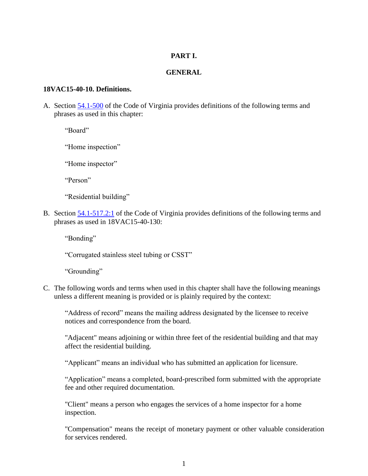## **PART I.**

## **GENERAL**

#### **18VAC15-40-10. Definitions.**

A. Section [54.1-500](https://law.lis.virginia.gov/vacode/title54.1/chapter5/section54.1-500/) of the Code of Virginia provides definitions of the following terms and phrases as used in this chapter:

"Board"

"Home inspection"

"Home inspector"

"Person"

"Residential building"

B. Section [54.1-517.2:1](https://law.lis.virginia.gov/vacode/title54.1/chapter5/section54.1-517.2:1/) of the Code of Virginia provides definitions of the following terms and phrases as used in 18VAC15-40-130:

"Bonding"

"Corrugated stainless steel tubing or CSST"

"Grounding"

C. The following words and terms when used in this chapter shall have the following meanings unless a different meaning is provided or is plainly required by the context:

"Address of record" means the mailing address designated by the licensee to receive notices and correspondence from the board.

"Adjacent" means adjoining or within three feet of the residential building and that may affect the residential building.

"Applicant" means an individual who has submitted an application for licensure.

"Application" means a completed, board-prescribed form submitted with the appropriate fee and other required documentation.

"Client" means a person who engages the services of a home inspector for a home inspection.

"Compensation" means the receipt of monetary payment or other valuable consideration for services rendered.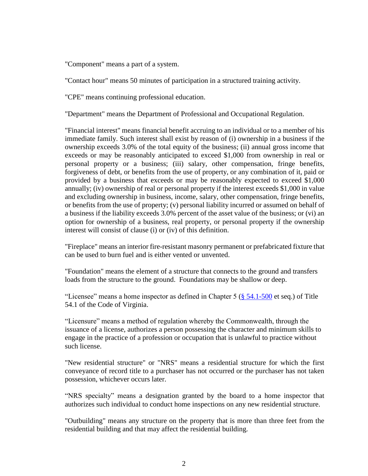"Component" means a part of a system.

"Contact hour" means 50 minutes of participation in a structured training activity.

"CPE" means continuing professional education.

"Department" means the Department of Professional and Occupational Regulation.

"Financial interest" means financial benefit accruing to an individual or to a member of his immediate family. Such interest shall exist by reason of (i) ownership in a business if the ownership exceeds 3.0% of the total equity of the business; (ii) annual gross income that exceeds or may be reasonably anticipated to exceed \$1,000 from ownership in real or personal property or a business; (iii) salary, other compensation, fringe benefits, forgiveness of debt, or benefits from the use of property, or any combination of it, paid or provided by a business that exceeds or may be reasonably expected to exceed \$1,000 annually; (iv) ownership of real or personal property if the interest exceeds \$1,000 in value and excluding ownership in business, income, salary, other compensation, fringe benefits, or benefits from the use of property; (v) personal liability incurred or assumed on behalf of a business if the liability exceeds 3.0% percent of the asset value of the business; or (vi) an option for ownership of a business, real property, or personal property if the ownership interest will consist of clause (i) or (iv) of this definition.

"Fireplace" means an interior fire-resistant masonry permanent or prefabricated fixture that can be used to burn fuel and is either vented or unvented.

"Foundation" means the element of a structure that connects to the ground and transfers loads from the structure to the ground. Foundations may be shallow or deep.

"Licensee" means a home inspector as defined in Chapter 5 ( $\S$  54.1-500 et seq.) of Title 54.1 of the Code of Virginia.

"Licensure" means a method of regulation whereby the Commonwealth, through the issuance of a license, authorizes a person possessing the character and minimum skills to engage in the practice of a profession or occupation that is unlawful to practice without such license.

"New residential structure" or "NRS" means a residential structure for which the first conveyance of record title to a purchaser has not occurred or the purchaser has not taken possession, whichever occurs later.

"NRS specialty" means a designation granted by the board to a home inspector that authorizes such individual to conduct home inspections on any new residential structure.

"Outbuilding" means any structure on the property that is more than three feet from the residential building and that may affect the residential building.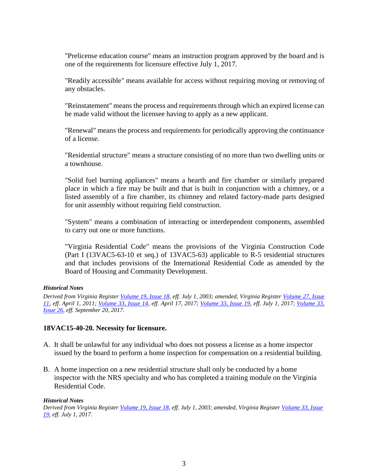"Prelicense education course" means an instruction program approved by the board and is one of the requirements for licensure effective July 1, 2017.

"Readily accessible" means available for access without requiring moving or removing of any obstacles.

"Reinstatement" means the process and requirements through which an expired license can be made valid without the licensee having to apply as a new applicant.

"Renewal" means the process and requirements for periodically approving the continuance of a license.

"Residential structure" means a structure consisting of no more than two dwelling units or a townhouse.

"Solid fuel burning appliances" means a hearth and fire chamber or similarly prepared place in which a fire may be built and that is built in conjunction with a chimney, or a listed assembly of a fire chamber, its chimney and related factory-made parts designed for unit assembly without requiring field construction.

"System" means a combination of interacting or interdependent components, assembled to carry out one or more functions.

"Virginia Residential Code" means the provisions of the Virginia Construction Code (Part I (13VAC5-63-10 et seq.) of 13VAC5-63) applicable to R-5 residential structures and that includes provisions of the International Residential Code as amended by the Board of Housing and Community Development.

## *Historical Notes*

*Derived from Virginia Register [Volume 19, Issue 18,](http://register.dls.virginia.gov/vol19/iss18/v19i18.pdf) eff. July 1, 2003; amended, Virginia Register [Volume 27, Issue](http://register.dls.virginia.gov/toc.aspx?voliss=27:11)  [11,](http://register.dls.virginia.gov/toc.aspx?voliss=27:11) eff. April 1, 2011; [Volume 33, Issue 14,](http://register.dls.virginia.gov/toc.aspx?voliss=33:14) eff. April 17, 2017; [Volume 33, Issue 19,](http://register.dls.virginia.gov/toc.aspx?voliss=33:19) eff. July 1, 2017; [Volume 33,](http://register.dls.virginia.gov/toc.aspx?voliss=33:26)  [Issue 26,](http://register.dls.virginia.gov/toc.aspx?voliss=33:26) eff. September 20, 2017.*

## **18VAC15-40-20. Necessity for licensure.**

- A. It shall be unlawful for any individual who does not possess a license as a home inspector issued by the board to perform a home inspection for compensation on a residential building.
- B. A home inspection on a new residential structure shall only be conducted by a home inspector with the NRS specialty and who has completed a training module on the Virginia Residential Code.

#### *Historical Notes*

*Derived from Virginia Register [Volume 19, Issue 18,](http://register.dls.virginia.gov/vol19/iss18/v19i18.pdf) eff. July 1, 2003; amended, Virginia Register [Volume 33, Issue](http://register.dls.virginia.gov/toc.aspx?voliss=33:19)  [19,](http://register.dls.virginia.gov/toc.aspx?voliss=33:19) eff. July 1, 2017.*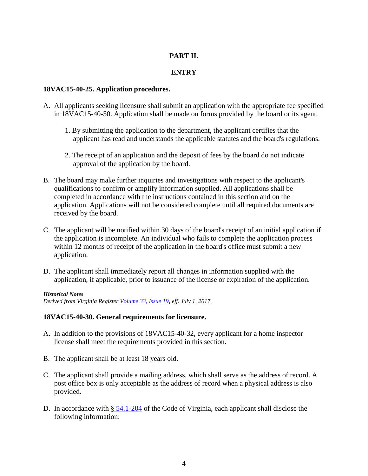## **PART II.**

## **ENTRY**

## **18VAC15-40-25. Application procedures.**

- A. All applicants seeking licensure shall submit an application with the appropriate fee specified in 18VAC15-40-50. Application shall be made on forms provided by the board or its agent.
	- 1. By submitting the application to the department, the applicant certifies that the applicant has read and understands the applicable statutes and the board's regulations.
	- 2. The receipt of an application and the deposit of fees by the board do not indicate approval of the application by the board.
- B. The board may make further inquiries and investigations with respect to the applicant's qualifications to confirm or amplify information supplied. All applications shall be completed in accordance with the instructions contained in this section and on the application. Applications will not be considered complete until all required documents are received by the board.
- C. The applicant will be notified within 30 days of the board's receipt of an initial application if the application is incomplete. An individual who fails to complete the application process within 12 months of receipt of the application in the board's office must submit a new application.
- D. The applicant shall immediately report all changes in information supplied with the application, if applicable, prior to issuance of the license or expiration of the application.

#### *Historical Notes*

*Derived from Virginia Register [Volume 33, Issue 19,](http://register.dls.virginia.gov/toc.aspx?voliss=33:19) eff. July 1, 2017.* 

## **18VAC15-40-30. General requirements for licensure.**

- A. In addition to the provisions of 18VAC15-40-32, every applicant for a home inspector license shall meet the requirements provided in this section.
- B. The applicant shall be at least 18 years old.
- C. The applicant shall provide a mailing address, which shall serve as the address of record. A post office box is only acceptable as the address of record when a physical address is also provided.
- D. In accordance with  $\S$  [54.1-204](https://law.lis.virginia.gov/vacode/title54.1/chapter2/section54.1-204/) of the Code of Virginia, each applicant shall disclose the following information: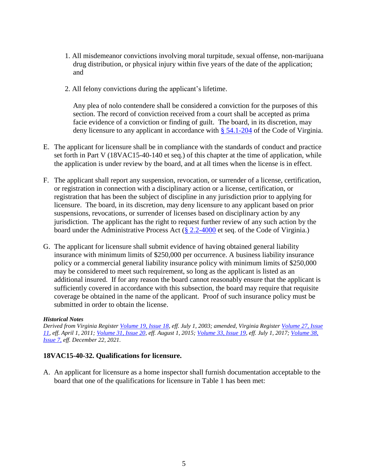- 1. All misdemeanor convictions involving moral turpitude, sexual offense, non-marijuana drug distribution, or physical injury within five years of the date of the application; and
- 2. All felony convictions during the applicant's lifetime.

Any plea of nolo contendere shall be considered a conviction for the purposes of this section. The record of conviction received from a court shall be accepted as prima facie evidence of a conviction or finding of guilt. The board, in its discretion, may deny licensure to any applicant in accordance with [§ 54.1-204](https://law.lis.virginia.gov/vacode/title54.1/chapter2/section54.1-204/) of the Code of Virginia.

- E. The applicant for licensure shall be in compliance with the standards of conduct and practice set forth in Part V (18VAC15-40-140 et seq.) of this chapter at the time of application, while the application is under review by the board, and at all times when the license is in effect.
- F. The applicant shall report any suspension, revocation, or surrender of a license, certification, or registration in connection with a disciplinary action or a license, certification, or registration that has been the subject of discipline in any jurisdiction prior to applying for licensure. The board, in its discretion, may deny licensure to any applicant based on prior suspensions, revocations, or surrender of licenses based on disciplinary action by any jurisdiction. The applicant has the right to request further review of any such action by the board under the Administrative Process Act [\(§ 2.2-4000](https://law.lis.virginia.gov/vacode/title2.2/chapter40/section2.2-4000/) et seq. of the Code of Virginia.)
- G. The applicant for licensure shall submit evidence of having obtained general liability insurance with minimum limits of \$250,000 per occurrence. A business liability insurance policy or a commercial general liability insurance policy with minimum limits of \$250,000 may be considered to meet such requirement, so long as the applicant is listed as an additional insured. If for any reason the board cannot reasonably ensure that the applicant is sufficiently covered in accordance with this subsection, the board may require that requisite coverage be obtained in the name of the applicant. Proof of such insurance policy must be submitted in order to obtain the license.

#### *Historical Notes*

*Derived from Virginia Register [Volume 19, Issue 18,](http://register.dls.virginia.gov/vol19/iss18/v19i18.pdf) eff. July 1, 2003; amended, Virginia Register [Volume 27, Issue](http://register.dls.virginia.gov/toc.aspx?voliss=27:11)  [11,](http://register.dls.virginia.gov/toc.aspx?voliss=27:11) eff. April 1, 2011; [Volume 31, Issue 20,](http://register.dls.virginia.gov/toc.aspx?voliss=31:20) eff. August 1, 2015; [Volume 33, Issue 19,](http://register.dls.virginia.gov/toc.aspx?voliss=33:19) eff. July 1, 2017; [Volume 38,](http://register.dls.virginia.gov/toc.aspx?voliss=38:07)  [Issue 7,](http://register.dls.virginia.gov/toc.aspx?voliss=38:07) eff. December 22, 2021.* 

## **18VAC15-40-32. Qualifications for licensure.**

A. An applicant for licensure as a home inspector shall furnish documentation acceptable to the board that one of the qualifications for licensure in Table 1 has been met: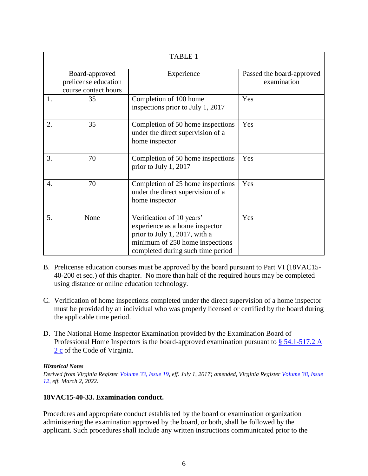|    | <b>TABLE 1</b>                                                 |                                                                                                                                                                      |                                          |
|----|----------------------------------------------------------------|----------------------------------------------------------------------------------------------------------------------------------------------------------------------|------------------------------------------|
|    | Board-approved<br>prelicense education<br>course contact hours | Experience                                                                                                                                                           | Passed the board-approved<br>examination |
| 1. | 35                                                             | Completion of 100 home<br>inspections prior to July 1, 2017                                                                                                          | Yes                                      |
| 2. | 35                                                             | Completion of 50 home inspections<br>under the direct supervision of a<br>home inspector                                                                             | Yes                                      |
| 3. | 70                                                             | Completion of 50 home inspections<br>prior to July 1, 2017                                                                                                           | Yes                                      |
| 4. | 70                                                             | Completion of 25 home inspections<br>under the direct supervision of a<br>home inspector                                                                             | Yes                                      |
| 5. | None                                                           | Verification of 10 years'<br>experience as a home inspector<br>prior to July 1, 2017, with a<br>minimum of 250 home inspections<br>completed during such time period | Yes                                      |

- B. Prelicense education courses must be approved by the board pursuant to Part VI (18VAC15- 40-200 et seq.) of this chapter. No more than half of the required hours may be completed using distance or online education technology.
- C. Verification of home inspections completed under the direct supervision of a home inspector must be provided by an individual who was properly licensed or certified by the board during the applicable time period.
- D. The National Home Inspector Examination provided by the Examination Board of Professional Home Inspectors is the board-approved examination pursuant to § 54.1-517.2 A [2 c](https://law.lis.virginia.gov/vacode/title54.1/chapter5/section54.1-517.2/) of the Code of Virginia.

## *Historical Notes*

*Derived from Virginia Register [Volume 33, Issue 19,](http://register.dls.virginia.gov/toc.aspx?voliss=33:19) eff. July 1, 2017*; *amended, Virginia Register [Volume 38, Issue](http://register.dls.virginia.gov/toc.aspx?voliss=38:12)  [12,](http://register.dls.virginia.gov/toc.aspx?voliss=38:12) eff. March 2, 2022.*

## **18VAC15-40-33. Examination conduct.**

Procedures and appropriate conduct established by the board or examination organization administering the examination approved by the board, or both, shall be followed by the applicant. Such procedures shall include any written instructions communicated prior to the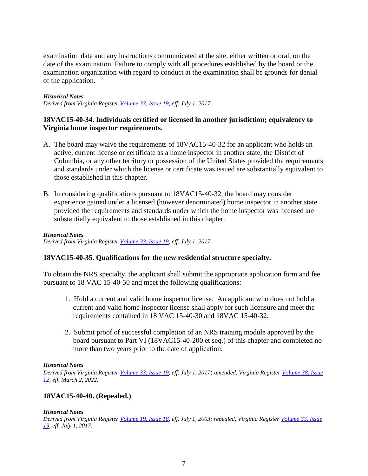examination date and any instructions communicated at the site, either written or oral, on the date of the examination. Failure to comply with all procedures established by the board or the examination organization with regard to conduct at the examination shall be grounds for denial of the application.

#### *Historical Notes*

*Derived from Virginia Register [Volume 33, Issue 19,](http://register.dls.virginia.gov/toc.aspx?voliss=33:19) eff. July 1, 2017.*

## **18VAC15-40-34. Individuals certified or licensed in another jurisdiction; equivalency to Virginia home inspector requirements.**

- A. The board may waive the requirements of 18VAC15-40-32 for an applicant who holds an active, current license or certificate as a home inspector in another state, the District of Columbia, or any other territory or possession of the United States provided the requirements and standards under which the license or certificate was issued are substantially equivalent to those established in this chapter.
- B. In considering qualifications pursuant to 18VAC15-40-32, the board may consider experience gained under a licensed (however denominated) home inspector in another state provided the requirements and standards under which the home inspector was licensed are substantially equivalent to those established in this chapter.

*Historical Notes Derived from Virginia Register [Volume 33, Issue 19,](http://register.dls.virginia.gov/toc.aspx?voliss=33:19) eff. July 1, 2017.*

## **18VAC15-40-35. Qualifications for the new residential structure specialty.**

To obtain the NRS specialty, the applicant shall submit the appropriate application form and fee pursuant to 18 VAC 15-40-50 and meet the following qualifications:

- 1. Hold a current and valid home inspector license. An applicant who does not hold a current and valid home inspector license shall apply for such licensure and meet the requirements contained in 18 VAC 15-40-30 and 18VAC 15-40-32.
- 2. Submit proof of successful completion of an NRS training module approved by the board pursuant to Part VI (18VAC15-40-200 et seq.) of this chapter and completed no more than two years prior to the date of application.

#### *Historical Notes*

*Derived from Virginia Register [Volume 33, Issue 19,](http://register.dls.virginia.gov/toc.aspx?voliss=33:19) eff. July 1, 2017*; *amended, Virginia Register [Volume 38, Issue](http://register.dls.virginia.gov/toc.aspx?voliss=38:12)  [12,](http://register.dls.virginia.gov/toc.aspx?voliss=38:12) eff. March 2, 2022.*

## **18VAC15-40-40. (Repealed.)**

#### *Historical Notes*

*Derived from Virginia Register [Volume 19, Issue 18,](http://register.dls.virginia.gov/vol19/iss18/v19i18.pdf) eff. July 1, 2003; repealed, Virginia Register [Volume 33, Issue](http://register.dls.virginia.gov/toc.aspx?voliss=33:19)  [19,](http://register.dls.virginia.gov/toc.aspx?voliss=33:19) eff. July 1, 2017.*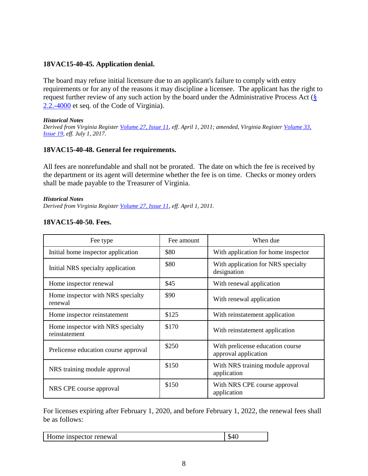## **18VAC15-40-45. Application denial.**

The board may refuse initial licensure due to an applicant's failure to comply with entry requirements or for any of the reasons it may discipline a licensee. The applicant has the right to request further review of any such action by the board under the Administrative Process Act  $(\S$ [2.2.-4000](https://law.lis.virginia.gov/vacode/title2.2/chapter40/section2.2-4000/) et seq. of the Code of Virginia).

#### *Historical Notes*

*Derived from Virginia Register [Volume 27, Issue 11,](http://register.dls.virginia.gov/toc.aspx?voliss=27:11) eff. April 1, 2011; amended, Virginia Register [Volume 33,](http://register.dls.virginia.gov/toc.aspx?voliss=33:19)  [Issue 19,](http://register.dls.virginia.gov/toc.aspx?voliss=33:19) eff. July 1, 2017.* 

## **18VAC15-40-48. General fee requirements.**

All fees are nonrefundable and shall not be prorated. The date on which the fee is received by the department or its agent will determine whether the fee is on time. Checks or money orders shall be made payable to the Treasurer of Virginia.

#### *Historical Notes*

*Derived from Virginia Register [Volume 27, Issue 11,](http://register.dls.virginia.gov/toc.aspx?voliss=27:11) eff. April 1, 2011.* 

| Fee type                                           | Fee amount | When due                                                 |
|----------------------------------------------------|------------|----------------------------------------------------------|
| Initial home inspector application                 | \$80       | With application for home inspector                      |
| Initial NRS specialty application                  | \$80       | With application for NRS specialty<br>designation        |
| Home inspector renewal                             | \$45       | With renewal application                                 |
| Home inspector with NRS specialty<br>renewal       | \$90       | With renewal application                                 |
| Home inspector reinstatement                       | \$125      | With reinstatement application                           |
| Home inspector with NRS specialty<br>reinstatement | \$170      | With reinstatement application                           |
| Prelicense education course approval               | \$250      | With prelicense education course<br>approval application |
| NRS training module approval                       | \$150      | With NRS training module approval<br>application         |
| NRS CPE course approval                            | \$150      | With NRS CPE course approval<br>application              |

## **18VAC15-40-50. Fees.**

For licenses expiring after February 1, 2020, and before February 1, 2022, the renewal fees shall be as follows:

| $ -$<br>Home inspector renewal | \$40 |
|--------------------------------|------|
|--------------------------------|------|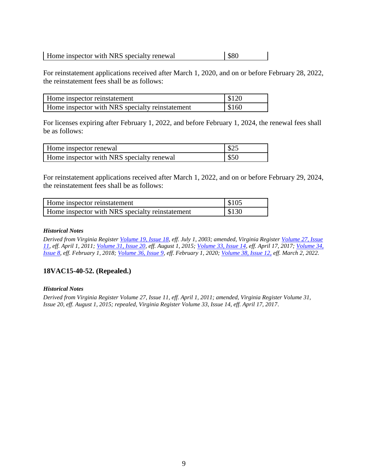| Home inspector with NRS specialty renewal | \$80 |
|-------------------------------------------|------|
|-------------------------------------------|------|

For reinstatement applications received after March 1, 2020, and on or before February 28, 2022, the reinstatement fees shall be as follows:

| Home inspector reinstatement                    | \$120 |
|-------------------------------------------------|-------|
| Home inspector with NRS specialty reinstatement | \$160 |

For licenses expiring after February 1, 2022, and before February 1, 2024, the renewal fees shall be as follows:

| Home inspector renewal                    | \$25 |
|-------------------------------------------|------|
| Home inspector with NRS specialty renewal | \$50 |

For reinstatement applications received after March 1, 2022, and on or before February 29, 2024, the reinstatement fees shall be as follows:

| Home inspector reinstatement                    | $\frac{1}{2}$ \$105 |
|-------------------------------------------------|---------------------|
| Home inspector with NRS specialty reinstatement | $\frac{1}{2}$ \$130 |

#### *Historical Notes*

*Derived from Virginia Register [Volume 19, Issue 18,](http://register.dls.virginia.gov/vol19/iss18/v19i18.pdf) eff. July 1, 2003; amended, Virginia Register [Volume 27, Issue](http://register.dls.virginia.gov/toc.aspx?voliss=27:11)  [11,](http://register.dls.virginia.gov/toc.aspx?voliss=27:11) eff. April 1, 2011; [Volume 31, Issue 20,](http://register.dls.virginia.gov/toc.aspx?voliss=31:20) eff. August 1, 2015; [Volume 33, Issue 14,](http://register.dls.virginia.gov/toc.aspx?voliss=33:14) eff. April 17, 2017; [Volume 34,](http://register.dls.virginia.gov/toc.aspx?voliss=34:08)  [Issue 8,](http://register.dls.virginia.gov/toc.aspx?voliss=34:08) eff. February 1, 2018; [Volume 36, Issue 9,](http://register.dls.virginia.gov/toc.aspx?voliss=36:09) eff. February 1, 2020; [Volume 38, Issue 12,](http://register.dls.virginia.gov/toc.aspx?voliss=38:12) eff. March 2, 2022.*

## **18VAC15-40-52. (Repealed.)**

#### *Historical Notes*

*Derived from Virginia Register Volume 27, Issue 11, eff. April 1, 2011; amended, Virginia Register Volume 31, Issue 20, eff. August 1, 2015; repealed, Virginia Register Volume 33, Issue 14, eff. April 17, 2017.*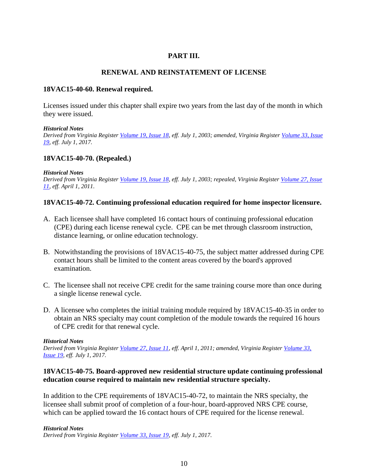## **PART III.**

## **RENEWAL AND REINSTATEMENT OF LICENSE**

## **18VAC15-40-60. Renewal required.**

Licenses issued under this chapter shall expire two years from the last day of the month in which they were issued.

#### *Historical Notes*

*Derived from Virginia Register [Volume 19, Issue 18,](http://register.dls.virginia.gov/vol19/iss18/v19i18.pdf) eff. July 1, 2003; amended, Virginia Register [Volume 33, Issue](http://register.dls.virginia.gov/toc.aspx?voliss=33:19)  [19,](http://register.dls.virginia.gov/toc.aspx?voliss=33:19) eff. July 1, 2017.* 

#### **18VAC15-40-70. (Repealed.)**

#### *Historical Notes*

*Derived from Virginia Register [Volume 19, Issue 18,](http://register.dls.virginia.gov/vol19/iss18/v19i18.pdf) eff. July 1, 2003; repealed, Virginia Register [Volume 27, Issue](http://register.dls.virginia.gov/toc.aspx?voliss=27:11)  [11,](http://register.dls.virginia.gov/toc.aspx?voliss=27:11) eff. April 1, 2011.* 

#### **18VAC15-40-72. Continuing professional education required for home inspector licensure.**

- A. Each licensee shall have completed 16 contact hours of continuing professional education (CPE) during each license renewal cycle. CPE can be met through classroom instruction, distance learning, or online education technology.
- B. Notwithstanding the provisions of 18VAC15-40-75, the subject matter addressed during CPE contact hours shall be limited to the content areas covered by the board's approved examination.
- C. The licensee shall not receive CPE credit for the same training course more than once during a single license renewal cycle.
- D. A licensee who completes the initial training module required by 18VAC15-40-35 in order to obtain an NRS specialty may count completion of the module towards the required 16 hours of CPE credit for that renewal cycle.

#### *Historical Notes*

*Derived from Virginia Register [Volume 27, Issue 11,](http://register.dls.virginia.gov/toc.aspx?voliss=27:11) eff. April 1, 2011; amended, Virginia Register [Volume 33,](http://register.dls.virginia.gov/toc.aspx?voliss=33:19)  [Issue 19,](http://register.dls.virginia.gov/toc.aspx?voliss=33:19) eff. July 1, 2017.* 

## **18VAC15-40-75. Board-approved new residential structure update continuing professional education course required to maintain new residential structure specialty.**

In addition to the CPE requirements of 18VAC15-40-72, to maintain the NRS specialty, the licensee shall submit proof of completion of a four-hour, board-approved NRS CPE course, which can be applied toward the 16 contact hours of CPE required for the license renewal.

*Historical Notes Derived from Virginia Register [Volume 33, Issue 19,](http://register.dls.virginia.gov/toc.aspx?voliss=33:19) eff. July 1, 2017.*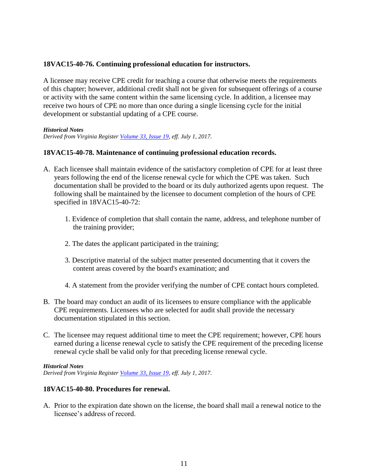## **18VAC15-40-76. Continuing professional education for instructors.**

A licensee may receive CPE credit for teaching a course that otherwise meets the requirements of this chapter; however, additional credit shall not be given for subsequent offerings of a course or activity with the same content within the same licensing cycle. In addition, a licensee may receive two hours of CPE no more than once during a single licensing cycle for the initial development or substantial updating of a CPE course.

#### *Historical Notes*

*Derived from Virginia Register [Volume 33, Issue 19,](http://register.dls.virginia.gov/toc.aspx?voliss=33:19) eff. July 1, 2017.*

#### **18VAC15-40-78. Maintenance of continuing professional education records.**

- A. Each licensee shall maintain evidence of the satisfactory completion of CPE for at least three years following the end of the license renewal cycle for which the CPE was taken. Such documentation shall be provided to the board or its duly authorized agents upon request. The following shall be maintained by the licensee to document completion of the hours of CPE specified in 18VAC15-40-72:
	- 1. Evidence of completion that shall contain the name, address, and telephone number of the training provider;
	- 2. The dates the applicant participated in the training;
	- 3. Descriptive material of the subject matter presented documenting that it covers the content areas covered by the board's examination; and
	- 4. A statement from the provider verifying the number of CPE contact hours completed.
- B. The board may conduct an audit of its licensees to ensure compliance with the applicable CPE requirements. Licensees who are selected for audit shall provide the necessary documentation stipulated in this section.
- C. The licensee may request additional time to meet the CPE requirement; however, CPE hours earned during a license renewal cycle to satisfy the CPE requirement of the preceding license renewal cycle shall be valid only for that preceding license renewal cycle.

#### *Historical Notes*

*Derived from Virginia Register [Volume 33, Issue 19,](http://register.dls.virginia.gov/toc.aspx?voliss=33:19) eff. July 1, 2017.*

## **18VAC15-40-80. Procedures for renewal.**

A. Prior to the expiration date shown on the license, the board shall mail a renewal notice to the licensee's address of record.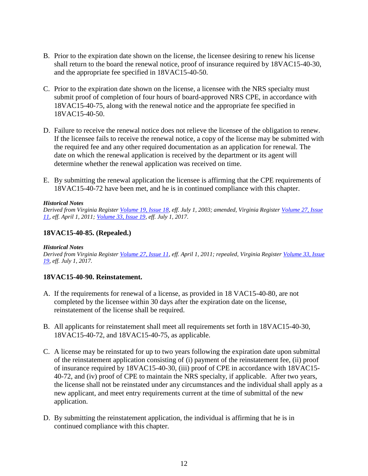- B. Prior to the expiration date shown on the license, the licensee desiring to renew his license shall return to the board the renewal notice, proof of insurance required by 18VAC15-40-30, and the appropriate fee specified in 18VAC15-40-50.
- C. Prior to the expiration date shown on the license, a licensee with the NRS specialty must submit proof of completion of four hours of board-approved NRS CPE, in accordance with 18VAC15-40-75, along with the renewal notice and the appropriate fee specified in 18VAC15-40-50.
- D. Failure to receive the renewal notice does not relieve the licensee of the obligation to renew. If the licensee fails to receive the renewal notice, a copy of the license may be submitted with the required fee and any other required documentation as an application for renewal. The date on which the renewal application is received by the department or its agent will determine whether the renewal application was received on time.
- E. By submitting the renewal application the licensee is affirming that the CPE requirements of 18VAC15-40-72 have been met, and he is in continued compliance with this chapter.

#### *Historical Notes*

*Derived from Virginia Register [Volume 19, Issue 18,](http://register.dls.virginia.gov/vol19/iss18/v19i18.pdf) eff. July 1, 2003; amended, Virginia Register [Volume 27, Issue](http://register.dls.virginia.gov/toc.aspx?voliss=27:11)  [11,](http://register.dls.virginia.gov/toc.aspx?voliss=27:11) eff. April 1, 2011; [Volume 33, Issue 19,](http://register.dls.virginia.gov/toc.aspx?voliss=33:19) eff. July 1, 2017.* 

## **18VAC15-40-85. (Repealed.)**

#### *Historical Notes*

*Derived from Virginia Register [Volume 27, Issue 11,](http://register.dls.virginia.gov/toc.aspx?voliss=27:11) eff. April 1, 2011; repealed, Virginia Register [Volume 33, Issue](http://register.dls.virginia.gov/toc.aspx?voliss=33:19)  [19,](http://register.dls.virginia.gov/toc.aspx?voliss=33:19) eff. July 1, 2017.* 

## **18VAC15-40-90. Reinstatement.**

- A. If the requirements for renewal of a license, as provided in 18 VAC15-40-80, are not completed by the licensee within 30 days after the expiration date on the license, reinstatement of the license shall be required.
- B. All applicants for reinstatement shall meet all requirements set forth in 18VAC15-40-30, 18VAC15-40-72, and 18VAC15-40-75, as applicable.
- C. A license may be reinstated for up to two years following the expiration date upon submittal of the reinstatement application consisting of (i) payment of the reinstatement fee, (ii) proof of insurance required by 18VAC15-40-30, (iii) proof of CPE in accordance with 18VAC15- 40-72, and (iv) proof of CPE to maintain the NRS specialty, if applicable. After two years, the license shall not be reinstated under any circumstances and the individual shall apply as a new applicant, and meet entry requirements current at the time of submittal of the new application.
- D. By submitting the reinstatement application, the individual is affirming that he is in continued compliance with this chapter.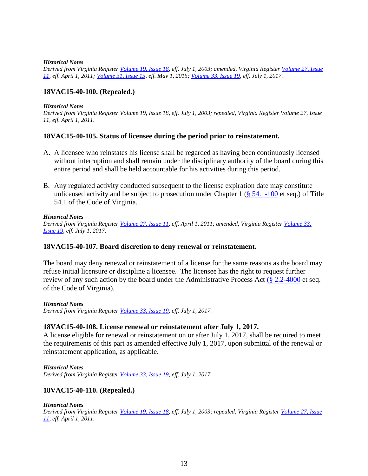#### *Historical Notes*

*Derived from Virginia Register [Volume 19, Issue 18,](http://register.dls.virginia.gov/vol19/iss18/v19i18.pdf) eff. July 1, 2003; amended, Virginia Register [Volume 27, Issue](http://register.dls.virginia.gov/toc.aspx?voliss=27:11)  [11,](http://register.dls.virginia.gov/toc.aspx?voliss=27:11) eff. April 1, 2011; [Volume 31, Issue 15,](http://register.dls.virginia.gov/toc.aspx?voliss=31:15) eff. May 1, 2015; [Volume 33, Issue 19,](http://register.dls.virginia.gov/toc.aspx?voliss=33:19) eff. July 1, 2017.*

## **18VAC15-40-100. (Repealed.)**

#### *Historical Notes*

*Derived from Virginia Register Volume 19, Issue 18, eff. July 1, 2003; repealed, Virginia Register Volume 27, Issue 11, eff. April 1, 2011.* 

#### **18VAC15-40-105. Status of licensee during the period prior to reinstatement.**

- A. A licensee who reinstates his license shall be regarded as having been continuously licensed without interruption and shall remain under the disciplinary authority of the board during this entire period and shall be held accountable for his activities during this period.
- B. Any regulated activity conducted subsequent to the license expiration date may constitute unlicensed activity and be subject to prosecution under Chapter 1 ( $§$  54.1-100 et seq.) of Title 54.1 of the Code of Virginia.

#### *Historical Notes*

*Derived from Virginia Register [Volume 27, Issue 11,](http://register.dls.virginia.gov/toc.aspx?voliss=27:11) eff. April 1, 2011; amended, Virginia Register [Volume 33,](http://register.dls.virginia.gov/toc.aspx?voliss=33:19)  [Issue 19,](http://register.dls.virginia.gov/toc.aspx?voliss=33:19) eff. July 1, 2017.*

#### **18VAC15-40-107. Board discretion to deny renewal or reinstatement.**

The board may deny renewal or reinstatement of a license for the same reasons as the board may refuse initial licensure or discipline a licensee. The licensee has the right to request further review of any such action by the board under the Administrative Process Act  $(\S 2.2\n-4000 \text{ et seq.})$ of the Code of Virginia).

#### *Historical Notes*

*Derived from Virginia Register [Volume 33, Issue 19,](http://register.dls.virginia.gov/toc.aspx?voliss=33:19) eff. July 1, 2017.*

#### **18VAC15-40-108. License renewal or reinstatement after July 1, 2017.**

A license eligible for renewal or reinstatement on or after July 1, 2017, shall be required to meet the requirements of this part as amended effective July 1, 2017, upon submittal of the renewal or reinstatement application, as applicable.

#### *Historical Notes*

*Derived from Virginia Register [Volume 33, Issue 19,](http://register.dls.virginia.gov/toc.aspx?voliss=33:19) eff. July 1, 2017.*

## **18VAC15-40-110. (Repealed.)**

#### *Historical Notes*

*Derived from Virginia Register [Volume 19, Issue 18,](http://register.dls.virginia.gov/vol19/iss18/v19i18.pdf) eff. July 1, 2003; repealed, Virginia Register [Volume 27, Issue](http://register.dls.virginia.gov/toc.aspx?voliss=27:11)  [11,](http://register.dls.virginia.gov/toc.aspx?voliss=27:11) eff. April 1, 2011.*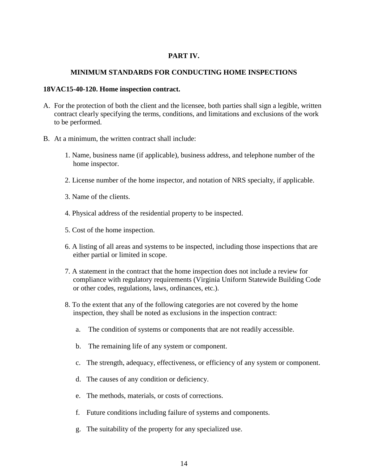## **PART IV.**

## **MINIMUM STANDARDS FOR CONDUCTING HOME INSPECTIONS**

#### **18VAC15-40-120. Home inspection contract.**

- A. For the protection of both the client and the licensee, both parties shall sign a legible, written contract clearly specifying the terms, conditions, and limitations and exclusions of the work to be performed.
- B. At a minimum, the written contract shall include:
	- 1. Name, business name (if applicable), business address, and telephone number of the home inspector.
	- 2. License number of the home inspector, and notation of NRS specialty, if applicable.
	- 3. Name of the clients.
	- 4. Physical address of the residential property to be inspected.
	- 5. Cost of the home inspection.
	- 6. A listing of all areas and systems to be inspected, including those inspections that are either partial or limited in scope.
	- 7. A statement in the contract that the home inspection does not include a review for compliance with regulatory requirements (Virginia Uniform Statewide Building Code or other codes, regulations, laws, ordinances, etc.).
	- 8. To the extent that any of the following categories are not covered by the home inspection, they shall be noted as exclusions in the inspection contract:
		- a. The condition of systems or components that are not readily accessible.
		- b. The remaining life of any system or component.
		- c. The strength, adequacy, effectiveness, or efficiency of any system or component.
		- d. The causes of any condition or deficiency.
		- e. The methods, materials, or costs of corrections.
		- f. Future conditions including failure of systems and components.
		- g. The suitability of the property for any specialized use.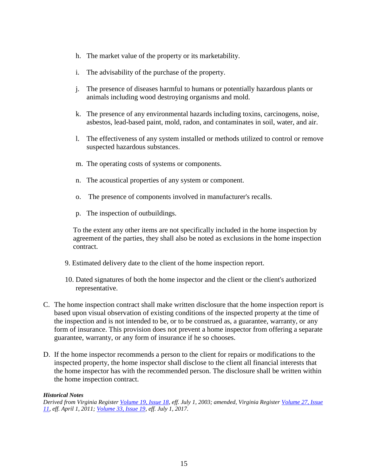- h. The market value of the property or its marketability.
- i. The advisability of the purchase of the property.
- j. The presence of diseases harmful to humans or potentially hazardous plants or animals including wood destroying organisms and mold.
- k. The presence of any environmental hazards including toxins, carcinogens, noise, asbestos, lead-based paint, mold, radon, and contaminates in soil, water, and air.
- l. The effectiveness of any system installed or methods utilized to control or remove suspected hazardous substances.
- m. The operating costs of systems or components.
- n. The acoustical properties of any system or component.
- o. The presence of components involved in manufacturer's recalls.
- p. The inspection of outbuildings.

To the extent any other items are not specifically included in the home inspection by agreement of the parties, they shall also be noted as exclusions in the home inspection contract.

- 9. Estimated delivery date to the client of the home inspection report.
- 10. Dated signatures of both the home inspector and the client or the client's authorized representative.
- C. The home inspection contract shall make written disclosure that the home inspection report is based upon visual observation of existing conditions of the inspected property at the time of the inspection and is not intended to be, or to be construed as, a guarantee, warranty, or any form of insurance. This provision does not prevent a home inspector from offering a separate guarantee, warranty, or any form of insurance if he so chooses.
- D. If the home inspector recommends a person to the client for repairs or modifications to the inspected property, the home inspector shall disclose to the client all financial interests that the home inspector has with the recommended person. The disclosure shall be written within the home inspection contract.

#### *Historical Notes*

*Derived from Virginia Register [Volume 19, Issue 18,](http://register.dls.virginia.gov/vol19/iss18/v19i18.pdf) eff. July 1, 2003; amended, Virginia Register [Volume 27, Issue](http://register.dls.virginia.gov/toc.aspx?voliss=27:11)  [11,](http://register.dls.virginia.gov/toc.aspx?voliss=27:11) eff. April 1, 2011; [Volume 33, Issue 19,](http://register.dls.virginia.gov/toc.aspx?voliss=33:19) eff. July 1, 2017.*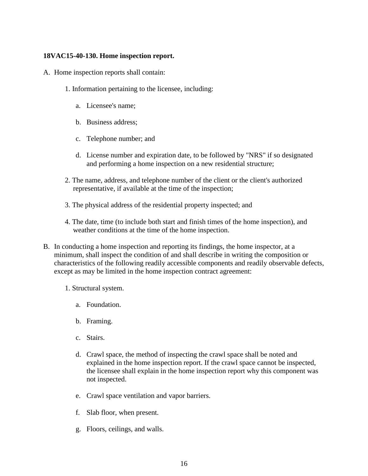## **18VAC15-40-130. Home inspection report.**

- A. Home inspection reports shall contain:
	- 1. Information pertaining to the licensee, including:
		- a. Licensee's name;
		- b. Business address;
		- c. Telephone number; and
		- d. License number and expiration date, to be followed by "NRS" if so designated and performing a home inspection on a new residential structure;
	- 2. The name, address, and telephone number of the client or the client's authorized representative, if available at the time of the inspection;
	- 3. The physical address of the residential property inspected; and
	- 4. The date, time (to include both start and finish times of the home inspection), and weather conditions at the time of the home inspection.
- B. In conducting a home inspection and reporting its findings, the home inspector, at a minimum, shall inspect the condition of and shall describe in writing the composition or characteristics of the following readily accessible components and readily observable defects, except as may be limited in the home inspection contract agreement:
	- 1. Structural system.
		- a. Foundation.
		- b. Framing.
		- c. Stairs.
		- d. Crawl space, the method of inspecting the crawl space shall be noted and explained in the home inspection report. If the crawl space cannot be inspected, the licensee shall explain in the home inspection report why this component was not inspected.
		- e. Crawl space ventilation and vapor barriers.
		- f. Slab floor, when present.
		- g. Floors, ceilings, and walls.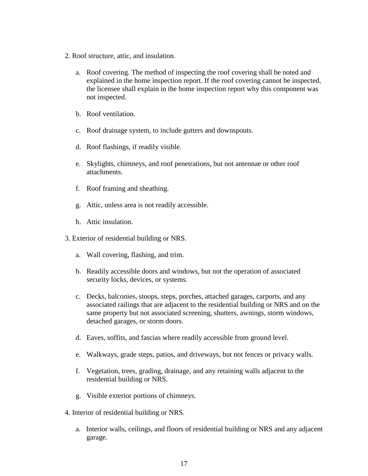- 2. Roof structure, attic, and insulation.
	- a. Roof covering. The method of inspecting the roof covering shall be noted and explained in the home inspection report. If the roof covering cannot be inspected, the licensee shall explain in the home inspection report why this component was not inspected.
	- b. Roof ventilation.
	- c. Roof drainage system, to include gutters and downspouts.
	- d. Roof flashings, if readily visible.
	- e. Skylights, chimneys, and roof penetrations, but not antennae or other roof attachments.
	- f. Roof framing and sheathing.
	- g. Attic, unless area is not readily accessible.
	- h. Attic insulation.
- 3. Exterior of residential building or NRS.
	- a. Wall covering, flashing, and trim.
	- b. Readily accessible doors and windows, but not the operation of associated security locks, devices, or systems.
	- c. Decks, balconies, stoops, steps, porches, attached garages, carports, and any associated railings that are adjacent to the residential building or NRS and on the same property but not associated screening, shutters, awnings, storm windows, detached garages, or storm doors.
	- d. Eaves, soffits, and fascias where readily accessible from ground level.
	- e. Walkways, grade steps, patios, and driveways, but not fences or privacy walls.
	- f. Vegetation, trees, grading, drainage, and any retaining walls adjacent to the residential building or NRS.
	- g. Visible exterior portions of chimneys.
- 4. Interior of residential building or NRS.
	- a. Interior walls, ceilings, and floors of residential building or NRS and any adjacent garage.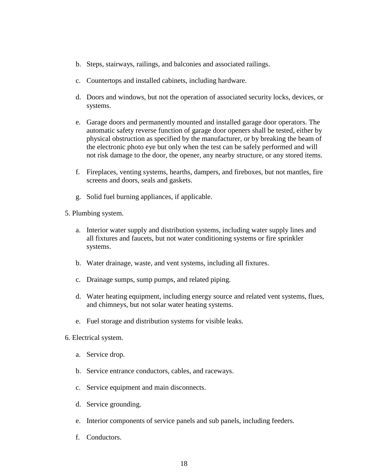- b. Steps, stairways, railings, and balconies and associated railings.
- c. Countertops and installed cabinets, including hardware.
- d. Doors and windows, but not the operation of associated security locks, devices, or systems.
- e. Garage doors and permanently mounted and installed garage door operators. The automatic safety reverse function of garage door openers shall be tested, either by physical obstruction as specified by the manufacturer, or by breaking the beam of the electronic photo eye but only when the test can be safely performed and will not risk damage to the door, the opener, any nearby structure, or any stored items.
- f. Fireplaces, venting systems, hearths, dampers, and fireboxes, but not mantles, fire screens and doors, seals and gaskets.
- g. Solid fuel burning appliances, if applicable.
- 5. Plumbing system.
	- a. Interior water supply and distribution systems, including water supply lines and all fixtures and faucets, but not water conditioning systems or fire sprinkler systems.
	- b. Water drainage, waste, and vent systems, including all fixtures.
	- c. Drainage sumps, sump pumps, and related piping.
	- d. Water heating equipment, including energy source and related vent systems, flues, and chimneys, but not solar water heating systems.
	- e. Fuel storage and distribution systems for visible leaks.
- 6. Electrical system.
	- a. Service drop.
	- b. Service entrance conductors, cables, and raceways.
	- c. Service equipment and main disconnects.
	- d. Service grounding.
	- e. Interior components of service panels and sub panels, including feeders.
	- f. Conductors.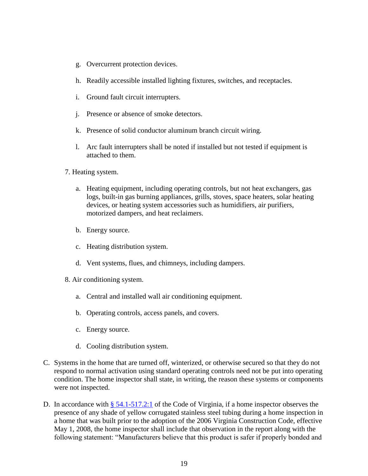- g. Overcurrent protection devices.
- h. Readily accessible installed lighting fixtures, switches, and receptacles.
- i. Ground fault circuit interrupters.
- j. Presence or absence of smoke detectors.
- k. Presence of solid conductor aluminum branch circuit wiring.
- l. Arc fault interrupters shall be noted if installed but not tested if equipment is attached to them.
- 7. Heating system.
	- a. Heating equipment, including operating controls, but not heat exchangers, gas logs, built-in gas burning appliances, grills, stoves, space heaters, solar heating devices, or heating system accessories such as humidifiers, air purifiers, motorized dampers, and heat reclaimers.
	- b. Energy source.
	- c. Heating distribution system.
	- d. Vent systems, flues, and chimneys, including dampers.
- 8. Air conditioning system.
	- a. Central and installed wall air conditioning equipment.
	- b. Operating controls, access panels, and covers.
	- c. Energy source.
	- d. Cooling distribution system.
- C. Systems in the home that are turned off, winterized, or otherwise secured so that they do not respond to normal activation using standard operating controls need not be put into operating condition. The home inspector shall state, in writing, the reason these systems or components were not inspected.
- D. In accordance with [§ 54.1-517.2:1](https://law.lis.virginia.gov/vacode/title54.1/chapter5/section54.1-517.2:1/) of the Code of Virginia, if a home inspector observes the presence of any shade of yellow corrugated stainless steel tubing during a home inspection in a home that was built prior to the adoption of the 2006 Virginia Construction Code, effective May 1, 2008, the home inspector shall include that observation in the report along with the following statement: "Manufacturers believe that this product is safer if properly bonded and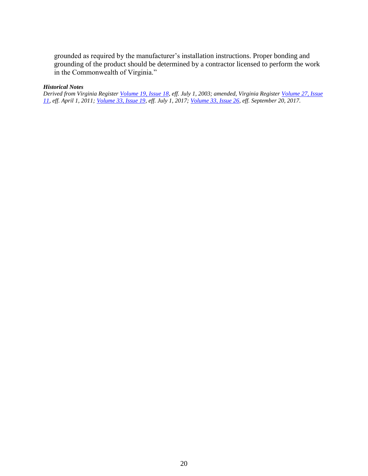grounded as required by the manufacturer's installation instructions. Proper bonding and grounding of the product should be determined by a contractor licensed to perform the work in the Commonwealth of Virginia."

#### *Historical Notes*

*Derived from Virginia Register [Volume 19, Issue 18,](http://register.dls.virginia.gov/vol19/iss18/v19i18.pdf) eff. July 1, 2003; amended, Virginia Register [Volume 27, Issue](http://register.dls.virginia.gov/toc.aspx?voliss=27:11)  [11,](http://register.dls.virginia.gov/toc.aspx?voliss=27:11) eff. April 1, 2011; [Volume 33, Issue 19,](http://register.dls.virginia.gov/toc.aspx?voliss=33:19) eff. July 1, 2017; [Volume 33, Issue 26,](http://register.dls.virginia.gov/toc.aspx?voliss=33:26) eff. September 20, 2017.*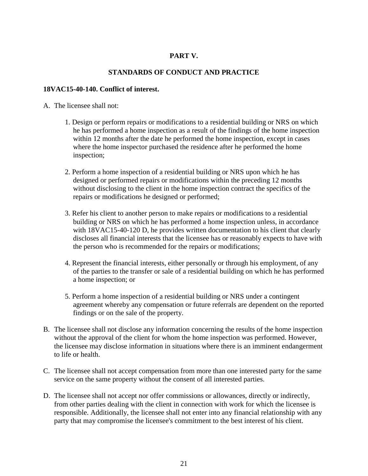## **PART V.**

## **STANDARDS OF CONDUCT AND PRACTICE**

#### **18VAC15-40-140. Conflict of interest.**

#### A. The licensee shall not:

- 1. Design or perform repairs or modifications to a residential building or NRS on which he has performed a home inspection as a result of the findings of the home inspection within 12 months after the date he performed the home inspection, except in cases where the home inspector purchased the residence after he performed the home inspection;
- 2. Perform a home inspection of a residential building or NRS upon which he has designed or performed repairs or modifications within the preceding 12 months without disclosing to the client in the home inspection contract the specifics of the repairs or modifications he designed or performed;
- 3. Refer his client to another person to make repairs or modifications to a residential building or NRS on which he has performed a home inspection unless, in accordance with 18VAC15-40-120 D, he provides written documentation to his client that clearly discloses all financial interests that the licensee has or reasonably expects to have with the person who is recommended for the repairs or modifications;
- 4. Represent the financial interests, either personally or through his employment, of any of the parties to the transfer or sale of a residential building on which he has performed a home inspection; or
- 5. Perform a home inspection of a residential building or NRS under a contingent agreement whereby any compensation or future referrals are dependent on the reported findings or on the sale of the property.
- B. The licensee shall not disclose any information concerning the results of the home inspection without the approval of the client for whom the home inspection was performed. However, the licensee may disclose information in situations where there is an imminent endangerment to life or health.
- C. The licensee shall not accept compensation from more than one interested party for the same service on the same property without the consent of all interested parties.
- D. The licensee shall not accept nor offer commissions or allowances, directly or indirectly, from other parties dealing with the client in connection with work for which the licensee is responsible. Additionally, the licensee shall not enter into any financial relationship with any party that may compromise the licensee's commitment to the best interest of his client.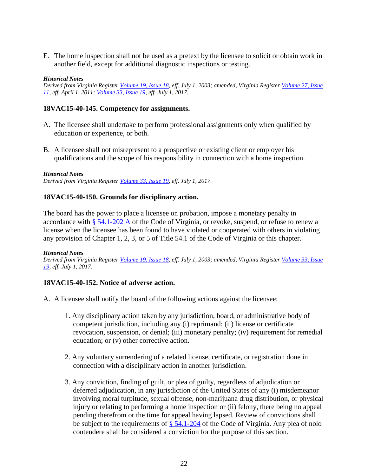E. The home inspection shall not be used as a pretext by the licensee to solicit or obtain work in another field, except for additional diagnostic inspections or testing.

#### *Historical Notes*

*Derived from Virginia Register [Volume 19, Issue 18,](http://register.dls.virginia.gov/vol19/iss18/v19i18.pdf) eff. July 1, 2003; amended, Virginia Register [Volume 27, Issue](http://register.dls.virginia.gov/toc.aspx?voliss=27:11)  [11,](http://register.dls.virginia.gov/toc.aspx?voliss=27:11) eff. April 1, 2011; [Volume 33, Issue 19,](http://register.dls.virginia.gov/toc.aspx?voliss=33:19) eff. July 1, 2017.* 

#### **18VAC15-40-145. Competency for assignments.**

- A. The licensee shall undertake to perform professional assignments only when qualified by education or experience, or both.
- B. A licensee shall not misrepresent to a prospective or existing client or employer his qualifications and the scope of his responsibility in connection with a home inspection.

#### *Historical Notes*

*Derived from Virginia Register [Volume 33, Issue 19,](http://register.dls.virginia.gov/toc.aspx?voliss=33:19) eff. July 1, 2017.*

## **18VAC15-40-150. Grounds for disciplinary action.**

The board has the power to place a licensee on probation, impose a monetary penalty in accordance with [§ 54.1-202 A](https://law.lis.virginia.gov/vacode/title54.1/chapter2/section54.1-202/) of the Code of Virginia, or revoke, suspend, or refuse to renew a license when the licensee has been found to have violated or cooperated with others in violating any provision of Chapter 1, 2, 3, or 5 of Title 54.1 of the Code of Virginia or this chapter.

#### *Historical Notes*

*Derived from Virginia Register [Volume 19, Issue 18,](http://register.dls.virginia.gov/vol19/iss18/v19i18.pdf) eff. July 1, 2003; amended, Virginia Register [Volume 33, Issue](http://register.dls.virginia.gov/toc.aspx?voliss=33:19)  [19,](http://register.dls.virginia.gov/toc.aspx?voliss=33:19) eff. July 1, 2017.* 

## **18VAC15-40-152. Notice of adverse action.**

- A. A licensee shall notify the board of the following actions against the licensee:
	- 1. Any disciplinary action taken by any jurisdiction, board, or administrative body of competent jurisdiction, including any (i) reprimand; (ii) license or certificate revocation, suspension, or denial; (iii) monetary penalty; (iv) requirement for remedial education; or (v) other corrective action.
	- 2. Any voluntary surrendering of a related license, certificate, or registration done in connection with a disciplinary action in another jurisdiction.
	- 3. Any conviction, finding of guilt, or plea of guilty, regardless of adjudication or deferred adjudication, in any jurisdiction of the United States of any (i) misdemeanor involving moral turpitude, sexual offense, non-marijuana drug distribution, or physical injury or relating to performing a home inspection or (ii) felony, there being no appeal pending therefrom or the time for appeal having lapsed. Review of convictions shall be subject to the requirements of § [54.1-204](https://law.lis.virginia.gov/vacode/title54.1/chapter2/section54.1-204/) of the Code of Virginia. Any plea of nolo contendere shall be considered a conviction for the purpose of this section.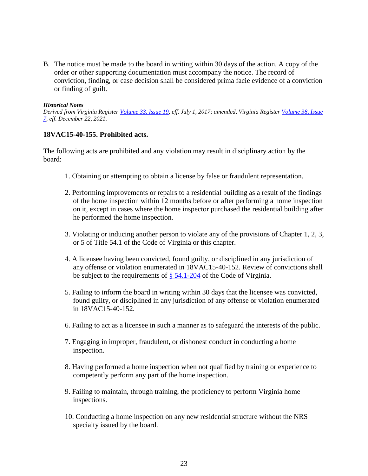B. The notice must be made to the board in writing within 30 days of the action. A copy of the order or other supporting documentation must accompany the notice. The record of conviction, finding, or case decision shall be considered prima facie evidence of a conviction or finding of guilt.

#### *Historical Notes*

*Derived from Virginia Register [Volume 33, Issue 19,](http://register.dls.virginia.gov/toc.aspx?voliss=33:19) eff. July 1, 2017; amended, Virginia Register [Volume 38, Issue](http://register.dls.virginia.gov/toc.aspx?voliss=38:07)  [7,](http://register.dls.virginia.gov/toc.aspx?voliss=38:07) eff. December 22, 2021.*

#### **18VAC15-40-155. Prohibited acts.**

The following acts are prohibited and any violation may result in disciplinary action by the board:

- 1. Obtaining or attempting to obtain a license by false or fraudulent representation.
- 2. Performing improvements or repairs to a residential building as a result of the findings of the home inspection within 12 months before or after performing a home inspection on it, except in cases where the home inspector purchased the residential building after he performed the home inspection.
- 3. Violating or inducing another person to violate any of the provisions of Chapter 1, 2, 3, or 5 of Title 54.1 of the Code of Virginia or this chapter.
- 4. A licensee having been convicted, found guilty, or disciplined in any jurisdiction of any offense or violation enumerated in 18VAC15-40-152. Review of convictions shall be subject to the requirements of [§ 54.1-204](https://law.lis.virginia.gov/vacode/title54.1/chapter2/section54.1-204/) of the Code of Virginia.
- 5. Failing to inform the board in writing within 30 days that the licensee was convicted, found guilty, or disciplined in any jurisdiction of any offense or violation enumerated in 18VAC15-40-152.
- 6. Failing to act as a licensee in such a manner as to safeguard the interests of the public.
- 7. Engaging in improper, fraudulent, or dishonest conduct in conducting a home inspection.
- 8. Having performed a home inspection when not qualified by training or experience to competently perform any part of the home inspection.
- 9. Failing to maintain, through training, the proficiency to perform Virginia home inspections.
- 10. Conducting a home inspection on any new residential structure without the NRS specialty issued by the board.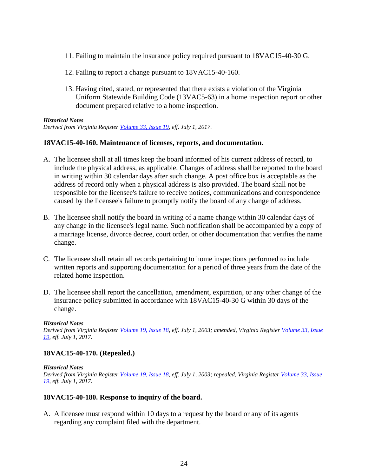- 11. Failing to maintain the insurance policy required pursuant to 18VAC15-40-30 G.
- 12. Failing to report a change pursuant to 18VAC15-40-160.
- 13. Having cited, stated, or represented that there exists a violation of the Virginia Uniform Statewide Building Code (13VAC5-63) in a home inspection report or other document prepared relative to a home inspection.

#### *Historical Notes*

*Derived from Virginia Register [Volume 33, Issue 19,](http://register.dls.virginia.gov/toc.aspx?voliss=33:19) eff. July 1, 2017.*

#### **18VAC15-40-160. Maintenance of licenses, reports, and documentation.**

- A. The licensee shall at all times keep the board informed of his current address of record, to include the physical address, as applicable. Changes of address shall be reported to the board in writing within 30 calendar days after such change. A post office box is acceptable as the address of record only when a physical address is also provided. The board shall not be responsible for the licensee's failure to receive notices, communications and correspondence caused by the licensee's failure to promptly notify the board of any change of address.
- B. The licensee shall notify the board in writing of a name change within 30 calendar days of any change in the licensee's legal name. Such notification shall be accompanied by a copy of a marriage license, divorce decree, court order, or other documentation that verifies the name change.
- C. The licensee shall retain all records pertaining to home inspections performed to include written reports and supporting documentation for a period of three years from the date of the related home inspection.
- D. The licensee shall report the cancellation, amendment, expiration, or any other change of the insurance policy submitted in accordance with 18VAC15-40-30 G within 30 days of the change.

#### *Historical Notes*

*Derived from Virginia Register [Volume 19, Issue 18,](http://register.dls.virginia.gov/vol19/iss18/v19i18.pdf) eff. July 1, 2003; amended, Virginia Register [Volume 33, Issue](http://register.dls.virginia.gov/toc.aspx?voliss=33:19)  [19,](http://register.dls.virginia.gov/toc.aspx?voliss=33:19) eff. July 1, 2017.* 

## **18VAC15-40-170. (Repealed.)**

#### *Historical Notes*

*Derived from Virginia Register [Volume 19, Issue 18,](http://register.dls.virginia.gov/vol19/iss18/v19i18.pdf) eff. July 1, 2003; repealed, Virginia Register [Volume 33, Issue](http://register.dls.virginia.gov/toc.aspx?voliss=33:19)  [19,](http://register.dls.virginia.gov/toc.aspx?voliss=33:19) eff. July 1, 2017.*

#### **18VAC15-40-180. Response to inquiry of the board.**

A. A licensee must respond within 10 days to a request by the board or any of its agents regarding any complaint filed with the department.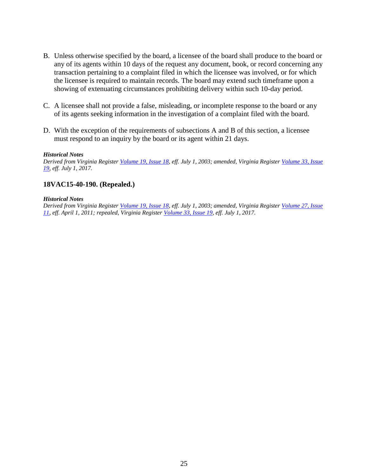- B. Unless otherwise specified by the board, a licensee of the board shall produce to the board or any of its agents within 10 days of the request any document, book, or record concerning any transaction pertaining to a complaint filed in which the licensee was involved, or for which the licensee is required to maintain records. The board may extend such timeframe upon a showing of extenuating circumstances prohibiting delivery within such 10-day period.
- C. A licensee shall not provide a false, misleading, or incomplete response to the board or any of its agents seeking information in the investigation of a complaint filed with the board.
- D. With the exception of the requirements of subsections A and B of this section, a licensee must respond to an inquiry by the board or its agent within 21 days.

#### *Historical Notes*

*Derived from Virginia Register [Volume 19, Issue 18,](http://register.dls.virginia.gov/vol19/iss18/v19i18.pdf) eff. July 1, 2003; amended, Virginia Register [Volume 33, Issue](http://register.dls.virginia.gov/toc.aspx?voliss=33:19)  [19,](http://register.dls.virginia.gov/toc.aspx?voliss=33:19) eff. July 1, 2017.*

#### **18VAC15-40-190. (Repealed.)**

#### *Historical Notes*

*Derived from Virginia Register [Volume 19, Issue 18,](http://register.dls.virginia.gov/vol19/iss18/v19i18.pdf) eff. July 1, 2003; amended, Virginia Register [Volume 27, Issue](http://register.dls.virginia.gov/toc.aspx?voliss=27:11)  [11,](http://register.dls.virginia.gov/toc.aspx?voliss=27:11) eff. April 1, 2011; repealed, Virginia Register [Volume 33, Issue 19,](http://register.dls.virginia.gov/toc.aspx?voliss=33:19) eff. July 1, 2017.*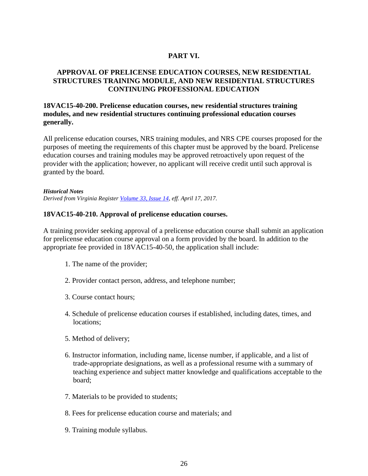## **PART VI.**

## **APPROVAL OF PRELICENSE EDUCATION COURSES, NEW RESIDENTIAL STRUCTURES TRAINING MODULE, AND NEW RESIDENTIAL STRUCTURES CONTINUING PROFESSIONAL EDUCATION**

## **18VAC15-40-200. Prelicense education courses, new residential structures training modules, and new residential structures continuing professional education courses generally.**

All prelicense education courses, NRS training modules, and NRS CPE courses proposed for the purposes of meeting the requirements of this chapter must be approved by the board. Prelicense education courses and training modules may be approved retroactively upon request of the provider with the application; however, no applicant will receive credit until such approval is granted by the board.

*Historical Notes Derived from Virginia Register [Volume 33, Issue 14,](http://register.dls.virginia.gov/toc.aspx?voliss=33:14) eff. April 17, 2017.*

## **18VAC15-40-210. Approval of prelicense education courses.**

A training provider seeking approval of a prelicense education course shall submit an application for prelicense education course approval on a form provided by the board. In addition to the appropriate fee provided in 18VAC15-40-50, the application shall include:

- 1. The name of the provider;
- 2. Provider contact person, address, and telephone number;
- 3. Course contact hours;
- 4. Schedule of prelicense education courses if established, including dates, times, and locations;
- 5. Method of delivery;
- 6. Instructor information, including name, license number, if applicable, and a list of trade-appropriate designations, as well as a professional resume with a summary of teaching experience and subject matter knowledge and qualifications acceptable to the board;
- 7. Materials to be provided to students;
- 8. Fees for prelicense education course and materials; and
- 9. Training module syllabus.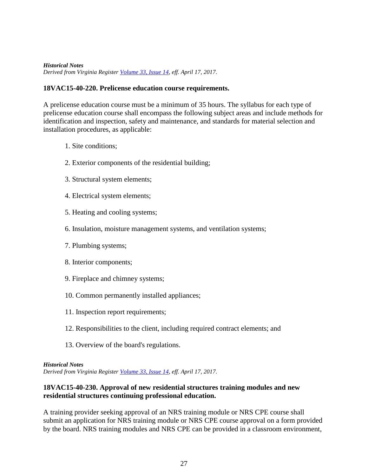#### *Historical Notes Derived from Virginia Register [Volume 33, Issue 14,](http://register.dls.virginia.gov/toc.aspx?voliss=33:14) eff. April 17, 2017.*

## **18VAC15-40-220. Prelicense education course requirements.**

A prelicense education course must be a minimum of 35 hours. The syllabus for each type of prelicense education course shall encompass the following subject areas and include methods for identification and inspection, safety and maintenance, and standards for material selection and installation procedures, as applicable:

- 1. Site conditions;
- 2. Exterior components of the residential building;
- 3. Structural system elements;
- 4. Electrical system elements;
- 5. Heating and cooling systems;
- 6. Insulation, moisture management systems, and ventilation systems;
- 7. Plumbing systems;
- 8. Interior components;
- 9. Fireplace and chimney systems;
- 10. Common permanently installed appliances;
- 11. Inspection report requirements;
- 12. Responsibilities to the client, including required contract elements; and
- 13. Overview of the board's regulations.

#### *Historical Notes*

*Derived from Virginia Register [Volume 33, Issue 14,](http://register.dls.virginia.gov/toc.aspx?voliss=33:14) eff. April 17, 2017.*

## **18VAC15-40-230. Approval of new residential structures training modules and new residential structures continuing professional education.**

A training provider seeking approval of an NRS training module or NRS CPE course shall submit an application for NRS training module or NRS CPE course approval on a form provided by the board. NRS training modules and NRS CPE can be provided in a classroom environment,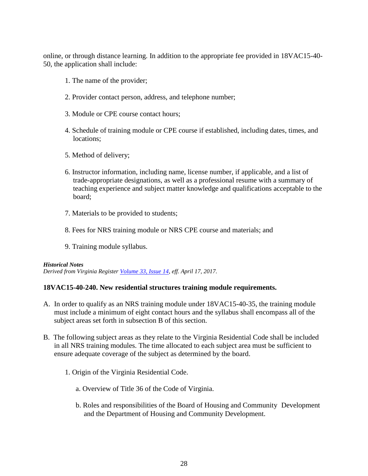online, or through distance learning. In addition to the appropriate fee provided in 18VAC15-40- 50, the application shall include:

- 1. The name of the provider;
- 2. Provider contact person, address, and telephone number;
- 3. Module or CPE course contact hours;
- 4. Schedule of training module or CPE course if established, including dates, times, and locations;
- 5. Method of delivery;
- 6. Instructor information, including name, license number, if applicable, and a list of trade-appropriate designations, as well as a professional resume with a summary of teaching experience and subject matter knowledge and qualifications acceptable to the board;
- 7. Materials to be provided to students;
- 8. Fees for NRS training module or NRS CPE course and materials; and
- 9. Training module syllabus.

#### *Historical Notes*

*Derived from Virginia Register [Volume 33, Issue 14,](http://register.dls.virginia.gov/toc.aspx?voliss=33:14) eff. April 17, 2017.*

## **18VAC15-40-240. New residential structures training module requirements.**

- A. In order to qualify as an NRS training module under 18VAC15-40-35, the training module must include a minimum of eight contact hours and the syllabus shall encompass all of the subject areas set forth in subsection B of this section.
- B. The following subject areas as they relate to the Virginia Residential Code shall be included in all NRS training modules. The time allocated to each subject area must be sufficient to ensure adequate coverage of the subject as determined by the board.
	- 1. Origin of the Virginia Residential Code.
		- a. Overview of Title 36 of the Code of Virginia.
		- b. Roles and responsibilities of the Board of Housing and Community Development and the Department of Housing and Community Development.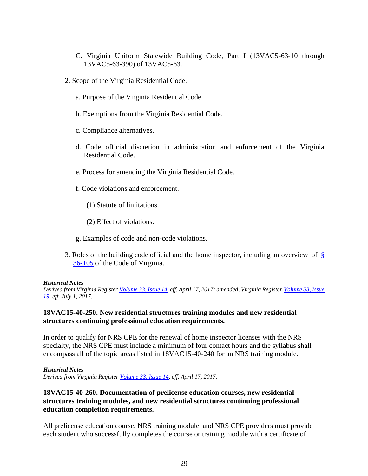- C. Virginia Uniform Statewide Building Code, Part I (13VAC5-63-10 through 13VAC5-63-390) of 13VAC5-63.
- 2. Scope of the Virginia Residential Code.
	- a. Purpose of the Virginia Residential Code.
	- b. Exemptions from the Virginia Residential Code.
	- c. Compliance alternatives.
	- d. Code official discretion in administration and enforcement of the Virginia Residential Code.
	- e. Process for amending the Virginia Residential Code.
	- f. Code violations and enforcement.
		- (1) Statute of limitations.
		- (2) Effect of violations.
	- g. Examples of code and non-code violations.
- 3. Roles of the building code official and the home inspector, including an overview of [§](https://law.lis.virginia.gov/vacode/title36/chapter6/section36-105/)  [36-105](https://law.lis.virginia.gov/vacode/title36/chapter6/section36-105/) of the Code of Virginia.

#### *Historical Notes*

*Derived from Virginia Register [Volume 33, Issue 14,](http://register.dls.virginia.gov/toc.aspx?voliss=33:14) eff. April 17, 2017; amended, Virginia Register [Volume 33, Issue](http://register.dls.virginia.gov/toc.aspx?voliss=33:19)  [19,](http://register.dls.virginia.gov/toc.aspx?voliss=33:19) eff. July 1, 2017.*

## **18VAC15-40-250. New residential structures training modules and new residential structures continuing professional education requirements.**

In order to qualify for NRS CPE for the renewal of home inspector licenses with the NRS specialty, the NRS CPE must include a minimum of four contact hours and the syllabus shall encompass all of the topic areas listed in 18VAC15-40-240 for an NRS training module.

*Historical Notes*

*Derived from Virginia Register [Volume 33, Issue 14,](http://register.dls.virginia.gov/toc.aspx?voliss=33:14) eff. April 17, 2017.*

## **18VAC15-40-260. Documentation of prelicense education courses, new residential structures training modules, and new residential structures continuing professional education completion requirements.**

All prelicense education course, NRS training module, and NRS CPE providers must provide each student who successfully completes the course or training module with a certificate of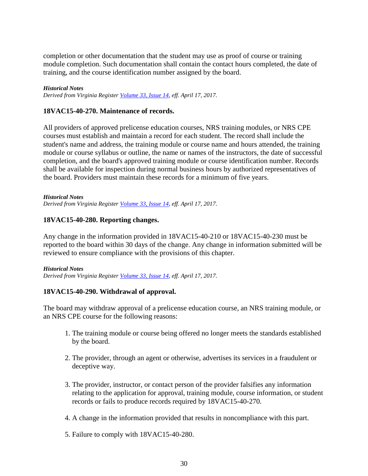completion or other documentation that the student may use as proof of course or training module completion. Such documentation shall contain the contact hours completed, the date of training, and the course identification number assigned by the board.

#### *Historical Notes*

*Derived from Virginia Register [Volume 33, Issue 14,](http://register.dls.virginia.gov/toc.aspx?voliss=33:14) eff. April 17, 2017.*

## **18VAC15-40-270. Maintenance of records.**

All providers of approved prelicense education courses, NRS training modules, or NRS CPE courses must establish and maintain a record for each student. The record shall include the student's name and address, the training module or course name and hours attended, the training module or course syllabus or outline, the name or names of the instructors, the date of successful completion, and the board's approved training module or course identification number. Records shall be available for inspection during normal business hours by authorized representatives of the board. Providers must maintain these records for a minimum of five years.

*Historical Notes Derived from Virginia Register [Volume 33, Issue 14,](http://register.dls.virginia.gov/toc.aspx?voliss=33:14) eff. April 17, 2017.*

#### **18VAC15-40-280. Reporting changes.**

Any change in the information provided in 18VAC15-40-210 or 18VAC15-40-230 must be reported to the board within 30 days of the change. Any change in information submitted will be reviewed to ensure compliance with the provisions of this chapter.

#### *Historical Notes*

*Derived from Virginia Register [Volume 33, Issue 14,](http://register.dls.virginia.gov/toc.aspx?voliss=33:14) eff. April 17, 2017.*

## **18VAC15-40-290. Withdrawal of approval.**

The board may withdraw approval of a prelicense education course, an NRS training module, or an NRS CPE course for the following reasons:

- 1. The training module or course being offered no longer meets the standards established by the board.
- 2. The provider, through an agent or otherwise, advertises its services in a fraudulent or deceptive way.
- 3. The provider, instructor, or contact person of the provider falsifies any information relating to the application for approval, training module, course information, or student records or fails to produce records required by 18VAC15-40-270.
- 4. A change in the information provided that results in noncompliance with this part.
- 5. Failure to comply with 18VAC15-40-280.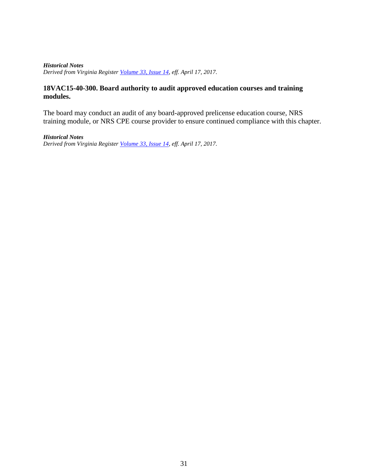*Historical Notes Derived from Virginia Register [Volume 33, Issue 14,](http://register.dls.virginia.gov/toc.aspx?voliss=33:14) eff. April 17, 2017.*

## **18VAC15-40-300. Board authority to audit approved education courses and training modules.**

The board may conduct an audit of any board-approved prelicense education course, NRS training module, or NRS CPE course provider to ensure continued compliance with this chapter.

*Historical Notes Derived from Virginia Register [Volume 33, Issue 14,](http://register.dls.virginia.gov/toc.aspx?voliss=33:14) eff. April 17, 2017.*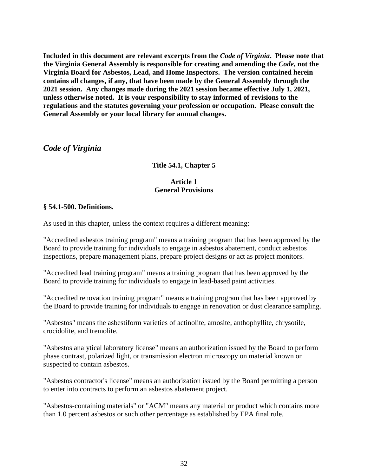**Included in this document are relevant excerpts from the** *Code of Virginia***. Please note that the Virginia General Assembly is responsible for creating and amending the** *Code***, not the Virginia Board for Asbestos, Lead, and Home Inspectors. The version contained herein contains all changes, if any, that have been made by the General Assembly through the 2021 session. Any changes made during the 2021 session became effective July 1, 2021, unless otherwise noted. It is your responsibility to stay informed of revisions to the regulations and the statutes governing your profession or occupation. Please consult the General Assembly or your local library for annual changes.**

*Code of Virginia*

## **Title 54.1, Chapter 5**

## **Article 1 General Provisions**

## **§ 54.1-500. Definitions.**

As used in this chapter, unless the context requires a different meaning:

"Accredited asbestos training program" means a training program that has been approved by the Board to provide training for individuals to engage in asbestos abatement, conduct asbestos inspections, prepare management plans, prepare project designs or act as project monitors.

"Accredited lead training program" means a training program that has been approved by the Board to provide training for individuals to engage in lead-based paint activities.

"Accredited renovation training program" means a training program that has been approved by the Board to provide training for individuals to engage in renovation or dust clearance sampling.

"Asbestos" means the asbestiform varieties of actinolite, amosite, anthophyllite, chrysotile, crocidolite, and tremolite.

"Asbestos analytical laboratory license" means an authorization issued by the Board to perform phase contrast, polarized light, or transmission electron microscopy on material known or suspected to contain asbestos.

"Asbestos contractor's license" means an authorization issued by the Board permitting a person to enter into contracts to perform an asbestos abatement project.

"Asbestos-containing materials" or "ACM" means any material or product which contains more than 1.0 percent asbestos or such other percentage as established by EPA final rule.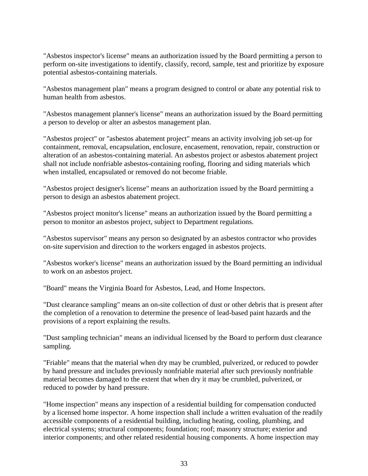"Asbestos inspector's license" means an authorization issued by the Board permitting a person to perform on-site investigations to identify, classify, record, sample, test and prioritize by exposure potential asbestos-containing materials.

"Asbestos management plan" means a program designed to control or abate any potential risk to human health from asbestos.

"Asbestos management planner's license" means an authorization issued by the Board permitting a person to develop or alter an asbestos management plan.

"Asbestos project" or "asbestos abatement project" means an activity involving job set-up for containment, removal, encapsulation, enclosure, encasement, renovation, repair, construction or alteration of an asbestos-containing material. An asbestos project or asbestos abatement project shall not include nonfriable asbestos-containing roofing, flooring and siding materials which when installed, encapsulated or removed do not become friable.

"Asbestos project designer's license" means an authorization issued by the Board permitting a person to design an asbestos abatement project.

"Asbestos project monitor's license" means an authorization issued by the Board permitting a person to monitor an asbestos project, subject to Department regulations.

"Asbestos supervisor" means any person so designated by an asbestos contractor who provides on-site supervision and direction to the workers engaged in asbestos projects.

"Asbestos worker's license" means an authorization issued by the Board permitting an individual to work on an asbestos project.

"Board" means the Virginia Board for Asbestos, Lead, and Home Inspectors.

"Dust clearance sampling" means an on-site collection of dust or other debris that is present after the completion of a renovation to determine the presence of lead-based paint hazards and the provisions of a report explaining the results.

"Dust sampling technician" means an individual licensed by the Board to perform dust clearance sampling.

"Friable" means that the material when dry may be crumbled, pulverized, or reduced to powder by hand pressure and includes previously nonfriable material after such previously nonfriable material becomes damaged to the extent that when dry it may be crumbled, pulverized, or reduced to powder by hand pressure.

"Home inspection" means any inspection of a residential building for compensation conducted by a licensed home inspector. A home inspection shall include a written evaluation of the readily accessible components of a residential building, including heating, cooling, plumbing, and electrical systems; structural components; foundation; roof; masonry structure; exterior and interior components; and other related residential housing components. A home inspection may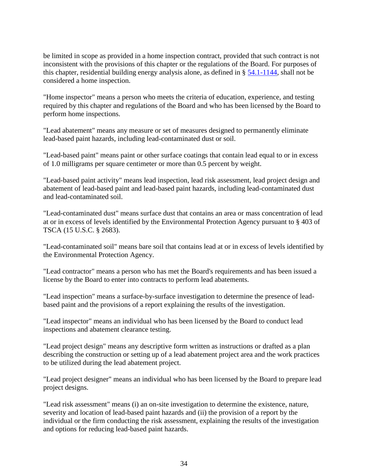be limited in scope as provided in a home inspection contract, provided that such contract is not inconsistent with the provisions of this chapter or the regulations of the Board. For purposes of this chapter, residential building energy analysis alone, as defined in § [54.1-1144,](http://law.lis.virginia.gov/vacode/54.1-1144/) shall not be considered a home inspection.

"Home inspector" means a person who meets the criteria of education, experience, and testing required by this chapter and regulations of the Board and who has been licensed by the Board to perform home inspections.

"Lead abatement" means any measure or set of measures designed to permanently eliminate lead-based paint hazards, including lead-contaminated dust or soil.

"Lead-based paint" means paint or other surface coatings that contain lead equal to or in excess of 1.0 milligrams per square centimeter or more than 0.5 percent by weight.

"Lead-based paint activity" means lead inspection, lead risk assessment, lead project design and abatement of lead-based paint and lead-based paint hazards, including lead-contaminated dust and lead-contaminated soil.

"Lead-contaminated dust" means surface dust that contains an area or mass concentration of lead at or in excess of levels identified by the Environmental Protection Agency pursuant to § 403 of TSCA (15 U.S.C. § 2683).

"Lead-contaminated soil" means bare soil that contains lead at or in excess of levels identified by the Environmental Protection Agency.

"Lead contractor" means a person who has met the Board's requirements and has been issued a license by the Board to enter into contracts to perform lead abatements.

"Lead inspection" means a surface-by-surface investigation to determine the presence of leadbased paint and the provisions of a report explaining the results of the investigation.

"Lead inspector" means an individual who has been licensed by the Board to conduct lead inspections and abatement clearance testing.

"Lead project design" means any descriptive form written as instructions or drafted as a plan describing the construction or setting up of a lead abatement project area and the work practices to be utilized during the lead abatement project.

"Lead project designer" means an individual who has been licensed by the Board to prepare lead project designs.

"Lead risk assessment" means (i) an on-site investigation to determine the existence, nature, severity and location of lead-based paint hazards and (ii) the provision of a report by the individual or the firm conducting the risk assessment, explaining the results of the investigation and options for reducing lead-based paint hazards.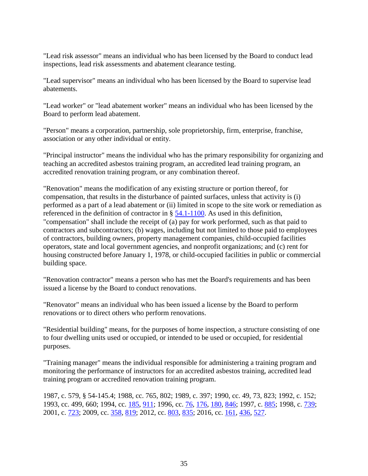"Lead risk assessor" means an individual who has been licensed by the Board to conduct lead inspections, lead risk assessments and abatement clearance testing.

"Lead supervisor" means an individual who has been licensed by the Board to supervise lead abatements.

"Lead worker" or "lead abatement worker" means an individual who has been licensed by the Board to perform lead abatement.

"Person" means a corporation, partnership, sole proprietorship, firm, enterprise, franchise, association or any other individual or entity.

"Principal instructor" means the individual who has the primary responsibility for organizing and teaching an accredited asbestos training program, an accredited lead training program, an accredited renovation training program, or any combination thereof.

"Renovation" means the modification of any existing structure or portion thereof, for compensation, that results in the disturbance of painted surfaces, unless that activity is (i) performed as a part of a lead abatement or (ii) limited in scope to the site work or remediation as referenced in the definition of contractor in § [54.1-1100.](http://law.lis.virginia.gov/vacode/54.1-1100/) As used in this definition, "compensation" shall include the receipt of (a) pay for work performed, such as that paid to contractors and subcontractors; (b) wages, including but not limited to those paid to employees of contractors, building owners, property management companies, child-occupied facilities operators, state and local government agencies, and nonprofit organizations; and (c) rent for housing constructed before January 1, 1978, or child-occupied facilities in public or commercial building space.

"Renovation contractor" means a person who has met the Board's requirements and has been issued a license by the Board to conduct renovations.

"Renovator" means an individual who has been issued a license by the Board to perform renovations or to direct others who perform renovations.

"Residential building" means, for the purposes of home inspection, a structure consisting of one to four dwelling units used or occupied, or intended to be used or occupied, for residential purposes.

"Training manager" means the individual responsible for administering a training program and monitoring the performance of instructors for an accredited asbestos training, accredited lead training program or accredited renovation training program.

1987, c. 579, § 54-145.4; 1988, cc. 765, 802; 1989, c. 397; 1990, cc. 49, 73, 823; 1992, c. 152; 1993, cc. 499, 660; 1994, cc. [185,](http://lis.virginia.gov/cgi-bin/legp604.exe?941+ful+CHAP0185) [911;](http://lis.virginia.gov/cgi-bin/legp604.exe?941+ful+CHAP0911) 1996, cc. [76,](http://lis.virginia.gov/cgi-bin/legp604.exe?961+ful+CHAP0076) [176,](http://lis.virginia.gov/cgi-bin/legp604.exe?961+ful+CHAP0176) [180,](http://lis.virginia.gov/cgi-bin/legp604.exe?961+ful+CHAP0180) [846;](http://lis.virginia.gov/cgi-bin/legp604.exe?961+ful+CHAP0846) 1997, c. [885;](http://lis.virginia.gov/cgi-bin/legp604.exe?971+ful+CHAP0885) 1998, c. [739;](http://lis.virginia.gov/cgi-bin/legp604.exe?981+ful+CHAP0739) 2001, c. [723;](http://lis.virginia.gov/cgi-bin/legp604.exe?011+ful+CHAP0723) 2009, cc. [358,](http://lis.virginia.gov/cgi-bin/legp604.exe?091+ful+CHAP0358) [819;](http://lis.virginia.gov/cgi-bin/legp604.exe?091+ful+CHAP0819) 2012, cc. [803,](http://lis.virginia.gov/cgi-bin/legp604.exe?121+ful+CHAP0803) [835;](http://lis.virginia.gov/cgi-bin/legp604.exe?121+ful+CHAP0835) 2016, cc. [161,](http://lis.virginia.gov/cgi-bin/legp604.exe?161+ful+CHAP0161) [436,](http://lis.virginia.gov/cgi-bin/legp604.exe?161+ful+CHAP0436) [527.](http://lis.virginia.gov/cgi-bin/legp604.exe?161+ful+CHAP0527)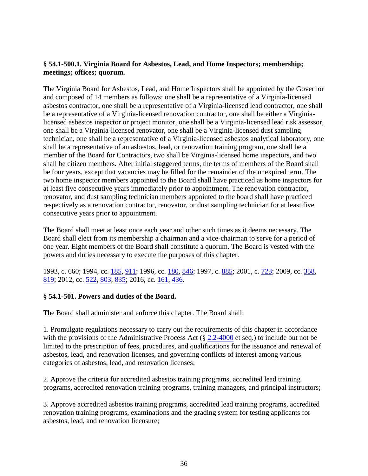## **§ 54.1-500.1. Virginia Board for Asbestos, Lead, and Home Inspectors; membership; meetings; offices; quorum.**

The Virginia Board for Asbestos, Lead, and Home Inspectors shall be appointed by the Governor and composed of 14 members as follows: one shall be a representative of a Virginia-licensed asbestos contractor, one shall be a representative of a Virginia-licensed lead contractor, one shall be a representative of a Virginia-licensed renovation contractor, one shall be either a Virginialicensed asbestos inspector or project monitor, one shall be a Virginia-licensed lead risk assessor, one shall be a Virginia-licensed renovator, one shall be a Virginia-licensed dust sampling technician, one shall be a representative of a Virginia-licensed asbestos analytical laboratory, one shall be a representative of an asbestos, lead, or renovation training program, one shall be a member of the Board for Contractors, two shall be Virginia-licensed home inspectors, and two shall be citizen members. After initial staggered terms, the terms of members of the Board shall be four years, except that vacancies may be filled for the remainder of the unexpired term. The two home inspector members appointed to the Board shall have practiced as home inspectors for at least five consecutive years immediately prior to appointment. The renovation contractor, renovator, and dust sampling technician members appointed to the board shall have practiced respectively as a renovation contractor, renovator, or dust sampling technician for at least five consecutive years prior to appointment.

The Board shall meet at least once each year and other such times as it deems necessary. The Board shall elect from its membership a chairman and a vice-chairman to serve for a period of one year. Eight members of the Board shall constitute a quorum. The Board is vested with the powers and duties necessary to execute the purposes of this chapter.

1993, c. 660; 1994, cc. [185,](http://lis.virginia.gov/cgi-bin/legp604.exe?941+ful+CHAP0185) [911;](http://lis.virginia.gov/cgi-bin/legp604.exe?941+ful+CHAP0911) 1996, cc. [180,](http://lis.virginia.gov/cgi-bin/legp604.exe?961+ful+CHAP0180) [846;](http://lis.virginia.gov/cgi-bin/legp604.exe?961+ful+CHAP0846) 1997, c. [885;](http://lis.virginia.gov/cgi-bin/legp604.exe?971+ful+CHAP0885) 2001, c. [723;](http://lis.virginia.gov/cgi-bin/legp604.exe?011+ful+CHAP0723) 2009, cc. [358,](http://lis.virginia.gov/cgi-bin/legp604.exe?091+ful+CHAP0358) [819;](http://lis.virginia.gov/cgi-bin/legp604.exe?091+ful+CHAP0819) 2012, cc. [522,](http://lis.virginia.gov/cgi-bin/legp604.exe?121+ful+CHAP0522) [803,](http://lis.virginia.gov/cgi-bin/legp604.exe?121+ful+CHAP0803) [835;](http://lis.virginia.gov/cgi-bin/legp604.exe?121+ful+CHAP0835) 2016, cc. [161,](http://lis.virginia.gov/cgi-bin/legp604.exe?161+ful+CHAP0161) [436.](http://lis.virginia.gov/cgi-bin/legp604.exe?161+ful+CHAP0436)

## **§ 54.1-501. Powers and duties of the Board.**

The Board shall administer and enforce this chapter. The Board shall:

1. Promulgate regulations necessary to carry out the requirements of this chapter in accordance with the provisions of the Administrative Process Act (§ [2.2-4000](http://law.lis.virginia.gov/vacode/2.2-4000/) et seq.) to include but not be limited to the prescription of fees, procedures, and qualifications for the issuance and renewal of asbestos, lead, and renovation licenses, and governing conflicts of interest among various categories of asbestos, lead, and renovation licenses;

2. Approve the criteria for accredited asbestos training programs, accredited lead training programs, accredited renovation training programs, training managers, and principal instructors;

3. Approve accredited asbestos training programs, accredited lead training programs, accredited renovation training programs, examinations and the grading system for testing applicants for asbestos, lead, and renovation licensure;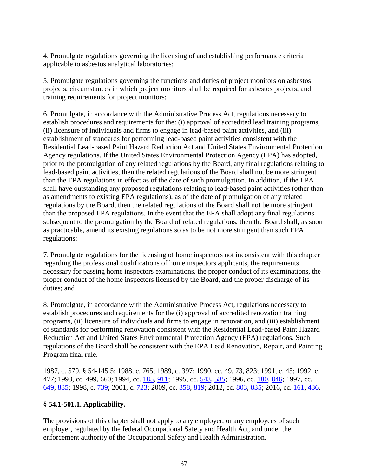4. Promulgate regulations governing the licensing of and establishing performance criteria applicable to asbestos analytical laboratories;

5. Promulgate regulations governing the functions and duties of project monitors on asbestos projects, circumstances in which project monitors shall be required for asbestos projects, and training requirements for project monitors;

6. Promulgate, in accordance with the Administrative Process Act, regulations necessary to establish procedures and requirements for the: (i) approval of accredited lead training programs, (ii) licensure of individuals and firms to engage in lead-based paint activities, and (iii) establishment of standards for performing lead-based paint activities consistent with the Residential Lead-based Paint Hazard Reduction Act and United States Environmental Protection Agency regulations. If the United States Environmental Protection Agency (EPA) has adopted, prior to the promulgation of any related regulations by the Board, any final regulations relating to lead-based paint activities, then the related regulations of the Board shall not be more stringent than the EPA regulations in effect as of the date of such promulgation. In addition, if the EPA shall have outstanding any proposed regulations relating to lead-based paint activities (other than as amendments to existing EPA regulations), as of the date of promulgation of any related regulations by the Board, then the related regulations of the Board shall not be more stringent than the proposed EPA regulations. In the event that the EPA shall adopt any final regulations subsequent to the promulgation by the Board of related regulations, then the Board shall, as soon as practicable, amend its existing regulations so as to be not more stringent than such EPA regulations;

7. Promulgate regulations for the licensing of home inspectors not inconsistent with this chapter regarding the professional qualifications of home inspectors applicants, the requirements necessary for passing home inspectors examinations, the proper conduct of its examinations, the proper conduct of the home inspectors licensed by the Board, and the proper discharge of its duties; and

8. Promulgate, in accordance with the Administrative Process Act, regulations necessary to establish procedures and requirements for the (i) approval of accredited renovation training programs, (ii) licensure of individuals and firms to engage in renovation, and (iii) establishment of standards for performing renovation consistent with the Residential Lead-based Paint Hazard Reduction Act and United States Environmental Protection Agency (EPA) regulations. Such regulations of the Board shall be consistent with the EPA Lead Renovation, Repair, and Painting Program final rule.

1987, c. 579, § 54-145.5; 1988, c. 765; 1989, c. 397; 1990, cc. 49, 73, 823; 1991, c. 45; 1992, c. 477; 1993, cc. 499, 660; 1994, cc. [185,](http://lis.virginia.gov/cgi-bin/legp604.exe?941+ful+CHAP0185) [911;](http://lis.virginia.gov/cgi-bin/legp604.exe?941+ful+CHAP0911) 1995, cc. [543,](http://lis.virginia.gov/cgi-bin/legp604.exe?951+ful+CHAP0543) [585;](http://lis.virginia.gov/cgi-bin/legp604.exe?951+ful+CHAP0585) 1996, cc. [180,](http://lis.virginia.gov/cgi-bin/legp604.exe?961+ful+CHAP0180) [846;](http://lis.virginia.gov/cgi-bin/legp604.exe?961+ful+CHAP0846) 1997, cc. [649,](http://lis.virginia.gov/cgi-bin/legp604.exe?971+ful+CHAP0649) [885;](http://lis.virginia.gov/cgi-bin/legp604.exe?971+ful+CHAP0885) 1998, c. [739;](http://lis.virginia.gov/cgi-bin/legp604.exe?981+ful+CHAP0739) 2001, c. [723;](http://lis.virginia.gov/cgi-bin/legp604.exe?011+ful+CHAP0723) 2009, cc. [358,](http://lis.virginia.gov/cgi-bin/legp604.exe?091+ful+CHAP0358) [819;](http://lis.virginia.gov/cgi-bin/legp604.exe?091+ful+CHAP0819) 2012, cc. [803,](http://lis.virginia.gov/cgi-bin/legp604.exe?121+ful+CHAP0803) [835;](http://lis.virginia.gov/cgi-bin/legp604.exe?121+ful+CHAP0835) 2016, cc. [161,](http://lis.virginia.gov/cgi-bin/legp604.exe?161+ful+CHAP0161) [436.](http://lis.virginia.gov/cgi-bin/legp604.exe?161+ful+CHAP0436)

## **§ 54.1-501.1. Applicability.**

The provisions of this chapter shall not apply to any employer, or any employees of such employer, regulated by the federal Occupational Safety and Health Act, and under the enforcement authority of the Occupational Safety and Health Administration.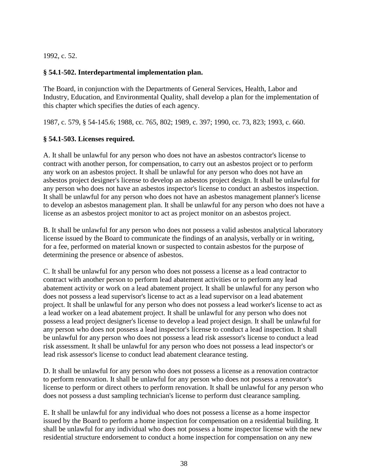1992, c. 52.

## **§ 54.1-502. Interdepartmental implementation plan.**

The Board, in conjunction with the Departments of General Services, Health, Labor and Industry, Education, and Environmental Quality, shall develop a plan for the implementation of this chapter which specifies the duties of each agency.

1987, c. 579, § 54-145.6; 1988, cc. 765, 802; 1989, c. 397; 1990, cc. 73, 823; 1993, c. 660.

## **§ 54.1-503. Licenses required.**

A. It shall be unlawful for any person who does not have an asbestos contractor's license to contract with another person, for compensation, to carry out an asbestos project or to perform any work on an asbestos project. It shall be unlawful for any person who does not have an asbestos project designer's license to develop an asbestos project design. It shall be unlawful for any person who does not have an asbestos inspector's license to conduct an asbestos inspection. It shall be unlawful for any person who does not have an asbestos management planner's license to develop an asbestos management plan. It shall be unlawful for any person who does not have a license as an asbestos project monitor to act as project monitor on an asbestos project.

B. It shall be unlawful for any person who does not possess a valid asbestos analytical laboratory license issued by the Board to communicate the findings of an analysis, verbally or in writing, for a fee, performed on material known or suspected to contain asbestos for the purpose of determining the presence or absence of asbestos.

C. It shall be unlawful for any person who does not possess a license as a lead contractor to contract with another person to perform lead abatement activities or to perform any lead abatement activity or work on a lead abatement project. It shall be unlawful for any person who does not possess a lead supervisor's license to act as a lead supervisor on a lead abatement project. It shall be unlawful for any person who does not possess a lead worker's license to act as a lead worker on a lead abatement project. It shall be unlawful for any person who does not possess a lead project designer's license to develop a lead project design. It shall be unlawful for any person who does not possess a lead inspector's license to conduct a lead inspection. It shall be unlawful for any person who does not possess a lead risk assessor's license to conduct a lead risk assessment. It shall be unlawful for any person who does not possess a lead inspector's or lead risk assessor's license to conduct lead abatement clearance testing.

D. It shall be unlawful for any person who does not possess a license as a renovation contractor to perform renovation. It shall be unlawful for any person who does not possess a renovator's license to perform or direct others to perform renovation. It shall be unlawful for any person who does not possess a dust sampling technician's license to perform dust clearance sampling.

E. It shall be unlawful for any individual who does not possess a license as a home inspector issued by the Board to perform a home inspection for compensation on a residential building. It shall be unlawful for any individual who does not possess a home inspector license with the new residential structure endorsement to conduct a home inspection for compensation on any new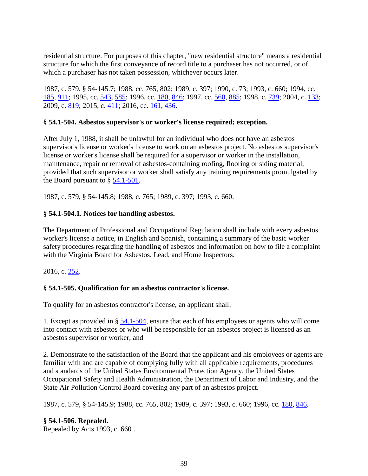residential structure. For purposes of this chapter, "new residential structure" means a residential structure for which the first conveyance of record title to a purchaser has not occurred, or of which a purchaser has not taken possession, whichever occurs later.

1987, c. 579, § 54-145.7; 1988, cc. 765, 802; 1989, c. 397; 1990, c. 73; 1993, c. 660; 1994, cc. [185,](http://lis.virginia.gov/cgi-bin/legp604.exe?941+ful+CHAP0185) [911;](http://lis.virginia.gov/cgi-bin/legp604.exe?941+ful+CHAP0911) 1995, cc. [543,](http://lis.virginia.gov/cgi-bin/legp604.exe?951+ful+CHAP0543) [585;](http://lis.virginia.gov/cgi-bin/legp604.exe?951+ful+CHAP0585) 1996, cc. [180,](http://lis.virginia.gov/cgi-bin/legp604.exe?961+ful+CHAP0180) [846;](http://lis.virginia.gov/cgi-bin/legp604.exe?961+ful+CHAP0846) 1997, cc. [560,](http://lis.virginia.gov/cgi-bin/legp604.exe?971+ful+CHAP0560) [885;](http://lis.virginia.gov/cgi-bin/legp604.exe?971+ful+CHAP0885) 1998, c. [739;](http://lis.virginia.gov/cgi-bin/legp604.exe?981+ful+CHAP0739) 2004, c. [133;](http://lis.virginia.gov/cgi-bin/legp604.exe?041+ful+CHAP0133) 2009, c. [819;](http://lis.virginia.gov/cgi-bin/legp604.exe?091+ful+CHAP0819) 2015, c. [411;](http://lis.virginia.gov/cgi-bin/legp604.exe?151+ful+CHAP0411) 2016, cc. [161,](http://lis.virginia.gov/cgi-bin/legp604.exe?161+ful+CHAP0161) [436.](http://lis.virginia.gov/cgi-bin/legp604.exe?161+ful+CHAP0436)

## **§ 54.1-504. Asbestos supervisor's or worker's license required; exception.**

After July 1, 1988, it shall be unlawful for an individual who does not have an asbestos supervisor's license or worker's license to work on an asbestos project. No asbestos supervisor's license or worker's license shall be required for a supervisor or worker in the installation, maintenance, repair or removal of asbestos-containing roofing, flooring or siding material, provided that such supervisor or worker shall satisfy any training requirements promulgated by the Board pursuant to § [54.1-501.](http://law.lis.virginia.gov/vacode/54.1-501/)

1987, c. 579, § 54-145.8; 1988, c. 765; 1989, c. 397; 1993, c. 660.

## **§ 54.1-504.1. Notices for handling asbestos.**

The Department of Professional and Occupational Regulation shall include with every asbestos worker's license a notice, in English and Spanish, containing a summary of the basic worker safety procedures regarding the handling of asbestos and information on how to file a complaint with the Virginia Board for Asbestos, Lead, and Home Inspectors.

2016, c. [252.](http://lis.virginia.gov/cgi-bin/legp604.exe?161+ful+CHAP0252)

## **§ 54.1-505. Qualification for an asbestos contractor's license.**

To qualify for an asbestos contractor's license, an applicant shall:

1. Except as provided in § [54.1-504,](http://law.lis.virginia.gov/vacode/54.1-504/) ensure that each of his employees or agents who will come into contact with asbestos or who will be responsible for an asbestos project is licensed as an asbestos supervisor or worker; and

2. Demonstrate to the satisfaction of the Board that the applicant and his employees or agents are familiar with and are capable of complying fully with all applicable requirements, procedures and standards of the United States Environmental Protection Agency, the United States Occupational Safety and Health Administration, the Department of Labor and Industry, and the State Air Pollution Control Board covering any part of an asbestos project.

1987, c. 579, § 54-145.9; 1988, cc. 765, 802; 1989, c. 397; 1993, c. 660; 1996, cc. [180,](http://lis.virginia.gov/cgi-bin/legp604.exe?961+ful+CHAP0180) [846.](http://lis.virginia.gov/cgi-bin/legp604.exe?961+ful+CHAP0846)

## **§ 54.1-506. Repealed.**

Repealed by Acts 1993, c. 660 .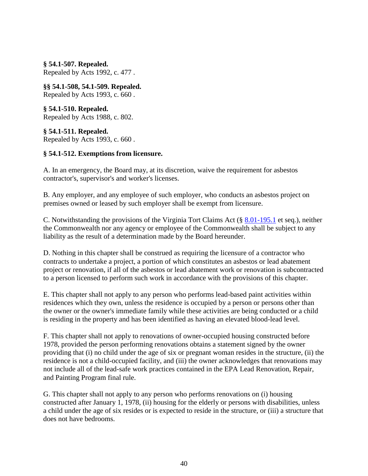**§ 54.1-507. Repealed.** Repealed by Acts 1992, c. 477 .

**§§ 54.1-508, 54.1-509. Repealed.** Repealed by Acts 1993, c. 660 .

**§ 54.1-510. Repealed.** Repealed by Acts 1988, c. 802.

**§ 54.1-511. Repealed.** Repealed by Acts 1993, c. 660 .

## **§ 54.1-512. Exemptions from licensure.**

A. In an emergency, the Board may, at its discretion, waive the requirement for asbestos contractor's, supervisor's and worker's licenses.

B. Any employer, and any employee of such employer, who conducts an asbestos project on premises owned or leased by such employer shall be exempt from licensure.

C. Notwithstanding the provisions of the Virginia Tort Claims Act (§ [8.01-195.1](http://law.lis.virginia.gov/vacode/8.01-195.1/) et seq.), neither the Commonwealth nor any agency or employee of the Commonwealth shall be subject to any liability as the result of a determination made by the Board hereunder.

D. Nothing in this chapter shall be construed as requiring the licensure of a contractor who contracts to undertake a project, a portion of which constitutes an asbestos or lead abatement project or renovation, if all of the asbestos or lead abatement work or renovation is subcontracted to a person licensed to perform such work in accordance with the provisions of this chapter.

E. This chapter shall not apply to any person who performs lead-based paint activities within residences which they own, unless the residence is occupied by a person or persons other than the owner or the owner's immediate family while these activities are being conducted or a child is residing in the property and has been identified as having an elevated blood-lead level.

F. This chapter shall not apply to renovations of owner-occupied housing constructed before 1978, provided the person performing renovations obtains a statement signed by the owner providing that (i) no child under the age of six or pregnant woman resides in the structure, (ii) the residence is not a child-occupied facility, and (iii) the owner acknowledges that renovations may not include all of the lead-safe work practices contained in the EPA Lead Renovation, Repair, and Painting Program final rule.

G. This chapter shall not apply to any person who performs renovations on (i) housing constructed after January 1, 1978, (ii) housing for the elderly or persons with disabilities, unless a child under the age of six resides or is expected to reside in the structure, or (iii) a structure that does not have bedrooms.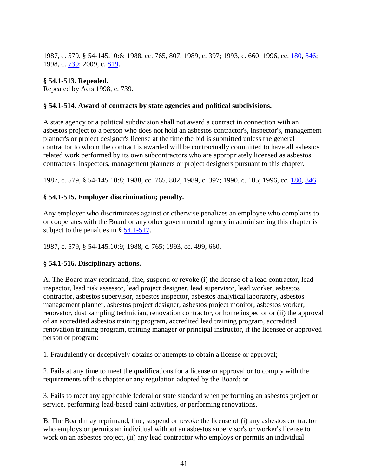1987, c. 579, § 54-145.10:6; 1988, cc. 765, 807; 1989, c. 397; 1993, c. 660; 1996, cc. [180,](http://lis.virginia.gov/cgi-bin/legp604.exe?961+ful+CHAP0180) [846;](http://lis.virginia.gov/cgi-bin/legp604.exe?961+ful+CHAP0846) 1998, c. [739;](http://lis.virginia.gov/cgi-bin/legp604.exe?981+ful+CHAP0739) 2009, c. [819.](http://lis.virginia.gov/cgi-bin/legp604.exe?091+ful+CHAP0819)

## **§ 54.1-513. Repealed.**

Repealed by Acts 1998, c. [739.](http://lis.virginia.gov/cgi-bin/legp604.exe?981+ful+CHAP0739)

## **§ 54.1-514. Award of contracts by state agencies and political subdivisions.**

A state agency or a political subdivision shall not award a contract in connection with an asbestos project to a person who does not hold an asbestos contractor's, inspector's, management planner's or project designer's license at the time the bid is submitted unless the general contractor to whom the contract is awarded will be contractually committed to have all asbestos related work performed by its own subcontractors who are appropriately licensed as asbestos contractors, inspectors, management planners or project designers pursuant to this chapter.

1987, c. 579, § 54-145.10:8; 1988, cc. 765, 802; 1989, c. 397; 1990, c. 105; 1996, cc. [180,](http://lis.virginia.gov/cgi-bin/legp604.exe?961+ful+CHAP0180) [846.](http://lis.virginia.gov/cgi-bin/legp604.exe?961+ful+CHAP0846)

## **§ 54.1-515. Employer discrimination; penalty.**

Any employer who discriminates against or otherwise penalizes an employee who complains to or cooperates with the Board or any other governmental agency in administering this chapter is subject to the penalties in § [54.1-517.](http://law.lis.virginia.gov/vacode/54.1-517/)

1987, c. 579, § 54-145.10:9; 1988, c. 765; 1993, cc. 499, 660.

## **§ 54.1-516. Disciplinary actions.**

A. The Board may reprimand, fine, suspend or revoke (i) the license of a lead contractor, lead inspector, lead risk assessor, lead project designer, lead supervisor, lead worker, asbestos contractor, asbestos supervisor, asbestos inspector, asbestos analytical laboratory, asbestos management planner, asbestos project designer, asbestos project monitor, asbestos worker, renovator, dust sampling technician, renovation contractor, or home inspector or (ii) the approval of an accredited asbestos training program, accredited lead training program, accredited renovation training program, training manager or principal instructor, if the licensee or approved person or program:

1. Fraudulently or deceptively obtains or attempts to obtain a license or approval;

2. Fails at any time to meet the qualifications for a license or approval or to comply with the requirements of this chapter or any regulation adopted by the Board; or

3. Fails to meet any applicable federal or state standard when performing an asbestos project or service, performing lead-based paint activities, or performing renovations.

B. The Board may reprimand, fine, suspend or revoke the license of (i) any asbestos contractor who employs or permits an individual without an asbestos supervisor's or worker's license to work on an asbestos project, (ii) any lead contractor who employs or permits an individual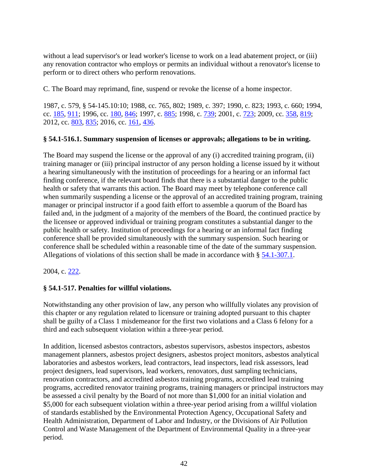without a lead supervisor's or lead worker's license to work on a lead abatement project, or (iii) any renovation contractor who employs or permits an individual without a renovator's license to perform or to direct others who perform renovations.

C. The Board may reprimand, fine, suspend or revoke the license of a home inspector.

1987, c. 579, § 54-145.10:10; 1988, cc. 765, 802; 1989, c. 397; 1990, c. 823; 1993, c. 660; 1994, cc. [185,](http://lis.virginia.gov/cgi-bin/legp604.exe?941+ful+CHAP0185) [911;](http://lis.virginia.gov/cgi-bin/legp604.exe?941+ful+CHAP0911) 1996, cc. [180,](http://lis.virginia.gov/cgi-bin/legp604.exe?961+ful+CHAP0180) [846;](http://lis.virginia.gov/cgi-bin/legp604.exe?961+ful+CHAP0846) 1997, c. [885;](http://lis.virginia.gov/cgi-bin/legp604.exe?971+ful+CHAP0885) 1998, c. [739;](http://lis.virginia.gov/cgi-bin/legp604.exe?981+ful+CHAP0739) 2001, c. [723;](http://lis.virginia.gov/cgi-bin/legp604.exe?011+ful+CHAP0723) 2009, cc. [358,](http://lis.virginia.gov/cgi-bin/legp604.exe?091+ful+CHAP0358) [819;](http://lis.virginia.gov/cgi-bin/legp604.exe?091+ful+CHAP0819) 2012, cc. [803,](http://lis.virginia.gov/cgi-bin/legp604.exe?121+ful+CHAP0803) [835;](http://lis.virginia.gov/cgi-bin/legp604.exe?121+ful+CHAP0835) 2016, cc. [161,](http://lis.virginia.gov/cgi-bin/legp604.exe?161+ful+CHAP0161) [436.](http://lis.virginia.gov/cgi-bin/legp604.exe?161+ful+CHAP0436)

## **§ 54.1-516.1. Summary suspension of licenses or approvals; allegations to be in writing.**

The Board may suspend the license or the approval of any (i) accredited training program, (ii) training manager or (iii) principal instructor of any person holding a license issued by it without a hearing simultaneously with the institution of proceedings for a hearing or an informal fact finding conference, if the relevant board finds that there is a substantial danger to the public health or safety that warrants this action. The Board may meet by telephone conference call when summarily suspending a license or the approval of an accredited training program, training manager or principal instructor if a good faith effort to assemble a quorum of the Board has failed and, in the judgment of a majority of the members of the Board, the continued practice by the licensee or approved individual or training program constitutes a substantial danger to the public health or safety. Institution of proceedings for a hearing or an informal fact finding conference shall be provided simultaneously with the summary suspension. Such hearing or conference shall be scheduled within a reasonable time of the date of the summary suspension. Allegations of violations of this section shall be made in accordance with § [54.1-307.1.](http://law.lis.virginia.gov/vacode/54.1-307.1/)

2004, c. [222.](http://lis.virginia.gov/cgi-bin/legp604.exe?041+ful+CHAP0222)

## **§ 54.1-517. Penalties for willful violations.**

Notwithstanding any other provision of law, any person who willfully violates any provision of this chapter or any regulation related to licensure or training adopted pursuant to this chapter shall be guilty of a Class 1 misdemeanor for the first two violations and a Class 6 felony for a third and each subsequent violation within a three-year period.

In addition, licensed asbestos contractors, asbestos supervisors, asbestos inspectors, asbestos management planners, asbestos project designers, asbestos project monitors, asbestos analytical laboratories and asbestos workers, lead contractors, lead inspectors, lead risk assessors, lead project designers, lead supervisors, lead workers, renovators, dust sampling technicians, renovation contractors, and accredited asbestos training programs, accredited lead training programs, accredited renovator training programs, training managers or principal instructors may be assessed a civil penalty by the Board of not more than \$1,000 for an initial violation and \$5,000 for each subsequent violation within a three-year period arising from a willful violation of standards established by the Environmental Protection Agency, Occupational Safety and Health Administration, Department of Labor and Industry, or the Divisions of Air Pollution Control and Waste Management of the Department of Environmental Quality in a three-year period.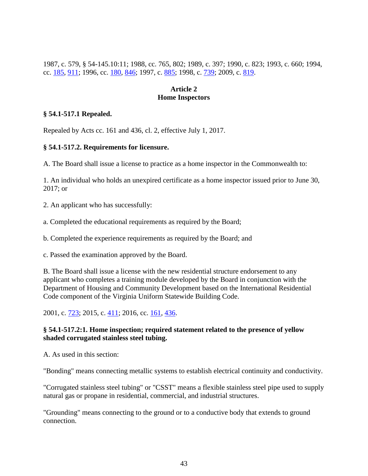1987, c. 579, § 54-145.10:11; 1988, cc. 765, 802; 1989, c. 397; 1990, c. 823; 1993, c. 660; 1994, cc. [185,](http://lis.virginia.gov/cgi-bin/legp604.exe?941+ful+CHAP0185) [911;](http://lis.virginia.gov/cgi-bin/legp604.exe?941+ful+CHAP0911) 1996, cc. [180,](http://lis.virginia.gov/cgi-bin/legp604.exe?961+ful+CHAP0180) [846;](http://lis.virginia.gov/cgi-bin/legp604.exe?961+ful+CHAP0846) 1997, c. [885;](http://lis.virginia.gov/cgi-bin/legp604.exe?971+ful+CHAP0885) 1998, c. [739;](http://lis.virginia.gov/cgi-bin/legp604.exe?981+ful+CHAP0739) 2009, c. [819.](http://lis.virginia.gov/cgi-bin/legp604.exe?091+ful+CHAP0819)

## **Article 2 Home Inspectors**

## **§ 54.1-517.1 Repealed.**

Repealed by Acts cc. 161 and 436, cl. 2, effective July 1, 2017.

## **§ 54.1-517.2. Requirements for licensure.**

A. The Board shall issue a license to practice as a home inspector in the Commonwealth to:

1. An individual who holds an unexpired certificate as a home inspector issued prior to June 30, 2017; or

2. An applicant who has successfully:

a. Completed the educational requirements as required by the Board;

b. Completed the experience requirements as required by the Board; and

c. Passed the examination approved by the Board.

B. The Board shall issue a license with the new residential structure endorsement to any applicant who completes a training module developed by the Board in conjunction with the Department of Housing and Community Development based on the International Residential Code component of the Virginia Uniform Statewide Building Code.

2001, c. [723;](http://lis.virginia.gov/cgi-bin/legp604.exe?011+ful+CHAP0723) 2015, c. [411;](http://lis.virginia.gov/cgi-bin/legp604.exe?151+ful+CHAP0411) 2016, cc. [161,](http://lis.virginia.gov/cgi-bin/legp604.exe?161+ful+CHAP0161) [436.](http://lis.virginia.gov/cgi-bin/legp604.exe?161+ful+CHAP0436)

## **§ 54.1-517.2:1. Home inspection; required statement related to the presence of yellow shaded corrugated stainless steel tubing.**

A. As used in this section:

"Bonding" means connecting metallic systems to establish electrical continuity and conductivity.

"Corrugated stainless steel tubing" or "CSST" means a flexible stainless steel pipe used to supply natural gas or propane in residential, commercial, and industrial structures.

"Grounding" means connecting to the ground or to a conductive body that extends to ground connection.